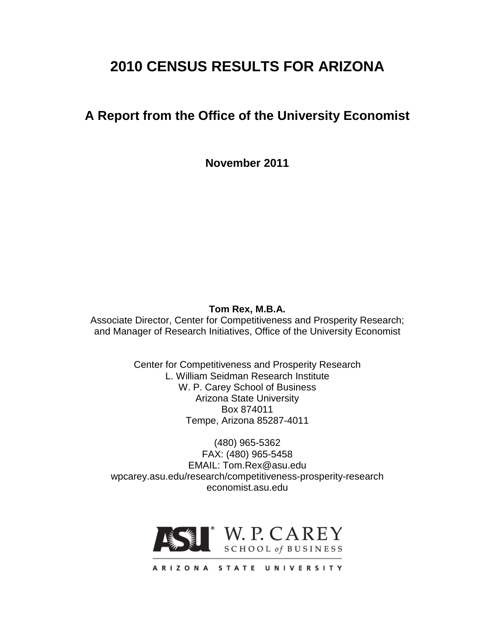# **2010 CENSUS RESULTS FOR ARIZONA**

## **A Report from the Office of the University Economist**

**November 2011**

#### **Tom Rex, M.B.A.**

Associate Director, Center for Competitiveness and Prosperity Research; and Manager of Research Initiatives, Office of the University Economist

> Center for Competitiveness and Prosperity Research L. William Seidman Research Institute W. P. Carey School of Business Arizona State University Box 874011 Tempe, Arizona 85287-4011

(480) 965-5362 FAX: (480) 965-5458 EMAIL: Tom.Rex@asu.edu wpcarey.asu.edu/research/competitiveness-prosperity-research economist.asu.edu



ARIZONA STATE UNIVERSITY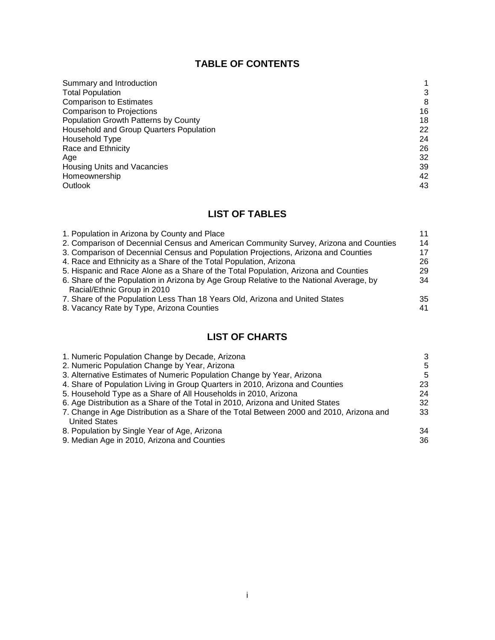### **TABLE OF CONTENTS**

| Summary and Introduction                |    |
|-----------------------------------------|----|
| <b>Total Population</b>                 | 3  |
| <b>Comparison to Estimates</b>          | 8  |
| <b>Comparison to Projections</b>        | 16 |
| Population Growth Patterns by County    | 18 |
| Household and Group Quarters Population | 22 |
| Household Type                          | 24 |
| Race and Ethnicity                      | 26 |
| Age                                     | 32 |
| Housing Units and Vacancies             | 39 |
| Homeownership                           | 42 |
| <b>Outlook</b>                          | 43 |

### **LIST OF TABLES**

| 1. Population in Arizona by County and Place                                            | 11 |
|-----------------------------------------------------------------------------------------|----|
| 2. Comparison of Decennial Census and American Community Survey, Arizona and Counties   | 14 |
| 3. Comparison of Decennial Census and Population Projections, Arizona and Counties      | 17 |
| 4. Race and Ethnicity as a Share of the Total Population, Arizona                       | 26 |
| 5. Hispanic and Race Alone as a Share of the Total Population, Arizona and Counties     | 29 |
| 6. Share of the Population in Arizona by Age Group Relative to the National Average, by | 34 |
| Racial/Ethnic Group in 2010                                                             |    |
| 7. Share of the Population Less Than 18 Years Old, Arizona and United States            | 35 |
| 8. Vacancy Rate by Type, Arizona Counties                                               | 41 |

### **LIST OF CHARTS**

| 1. Numeric Population Change by Decade, Arizona                                          | 3  |
|------------------------------------------------------------------------------------------|----|
| 2. Numeric Population Change by Year, Arizona                                            | 5  |
| 3. Alternative Estimates of Numeric Population Change by Year, Arizona                   | 5  |
| 4. Share of Population Living in Group Quarters in 2010, Arizona and Counties            | 23 |
| 5. Household Type as a Share of All Households in 2010, Arizona                          | 24 |
| 6. Age Distribution as a Share of the Total in 2010, Arizona and United States           | 32 |
| 7. Change in Age Distribution as a Share of the Total Between 2000 and 2010, Arizona and | 33 |
| <b>United States</b>                                                                     |    |
| 8. Population by Single Year of Age, Arizona                                             | 34 |
| 9. Median Age in 2010, Arizona and Counties                                              | 36 |
|                                                                                          |    |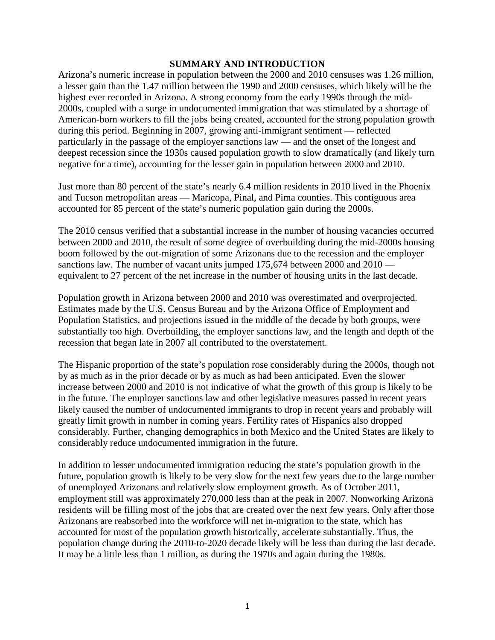#### **SUMMARY AND INTRODUCTION**

Arizona's numeric increase in population between the 2000 and 2010 censuses was 1.26 million, a lesser gain than the 1.47 million between the 1990 and 2000 censuses, which likely will be the highest ever recorded in Arizona. A strong economy from the early 1990s through the mid-2000s, coupled with a surge in undocumented immigration that was stimulated by a shortage of American-born workers to fill the jobs being created, accounted for the strong population growth during this period. Beginning in 2007, growing anti-immigrant sentiment — reflected particularly in the passage of the employer sanctions law — and the onset of the longest and deepest recession since the 1930s caused population growth to slow dramatically (and likely turn negative for a time), accounting for the lesser gain in population between 2000 and 2010.

Just more than 80 percent of the state's nearly 6.4 million residents in 2010 lived in the Phoenix and Tucson metropolitan areas — Maricopa, Pinal, and Pima counties. This contiguous area accounted for 85 percent of the state's numeric population gain during the 2000s.

The 2010 census verified that a substantial increase in the number of housing vacancies occurred between 2000 and 2010, the result of some degree of overbuilding during the mid-2000s housing boom followed by the out-migration of some Arizonans due to the recession and the employer sanctions law. The number of vacant units jumped 175,674 between 2000 and 2010 equivalent to 27 percent of the net increase in the number of housing units in the last decade.

Population growth in Arizona between 2000 and 2010 was overestimated and overprojected. Estimates made by the U.S. Census Bureau and by the Arizona Office of Employment and Population Statistics, and projections issued in the middle of the decade by both groups, were substantially too high. Overbuilding, the employer sanctions law, and the length and depth of the recession that began late in 2007 all contributed to the overstatement.

The Hispanic proportion of the state's population rose considerably during the 2000s, though not by as much as in the prior decade or by as much as had been anticipated. Even the slower increase between 2000 and 2010 is not indicative of what the growth of this group is likely to be in the future. The employer sanctions law and other legislative measures passed in recent years likely caused the number of undocumented immigrants to drop in recent years and probably will greatly limit growth in number in coming years. Fertility rates of Hispanics also dropped considerably. Further, changing demographics in both Mexico and the United States are likely to considerably reduce undocumented immigration in the future.

In addition to lesser undocumented immigration reducing the state's population growth in the future, population growth is likely to be very slow for the next few years due to the large number of unemployed Arizonans and relatively slow employment growth. As of October 2011, employment still was approximately 270,000 less than at the peak in 2007. Nonworking Arizona residents will be filling most of the jobs that are created over the next few years. Only after those Arizonans are reabsorbed into the workforce will net in-migration to the state, which has accounted for most of the population growth historically, accelerate substantially. Thus, the population change during the 2010-to-2020 decade likely will be less than during the last decade. It may be a little less than 1 million, as during the 1970s and again during the 1980s.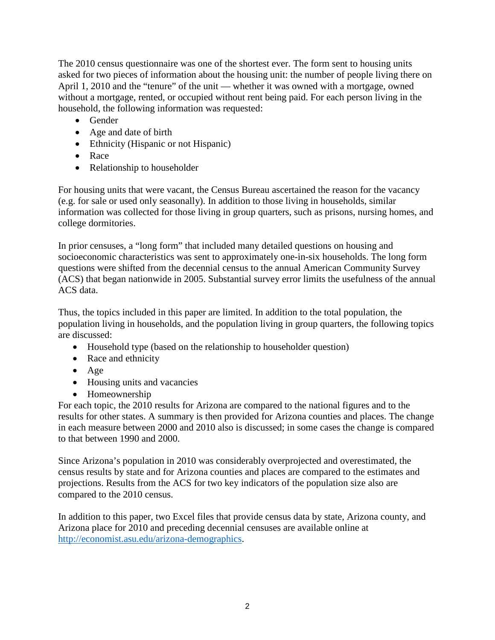The 2010 census questionnaire was one of the shortest ever. The form sent to housing units asked for two pieces of information about the housing unit: the number of people living there on April 1, 2010 and the "tenure" of the unit — whether it was owned with a mortgage, owned without a mortgage, rented, or occupied without rent being paid. For each person living in the household, the following information was requested:

- Gender
- Age and date of birth
- Ethnicity (Hispanic or not Hispanic)
- Race
- Relationship to householder

For housing units that were vacant, the Census Bureau ascertained the reason for the vacancy (e.g. for sale or used only seasonally). In addition to those living in households, similar information was collected for those living in group quarters, such as prisons, nursing homes, and college dormitories.

In prior censuses, a "long form" that included many detailed questions on housing and socioeconomic characteristics was sent to approximately one-in-six households. The long form questions were shifted from the decennial census to the annual American Community Survey (ACS) that began nationwide in 2005. Substantial survey error limits the usefulness of the annual ACS data.

Thus, the topics included in this paper are limited. In addition to the total population, the population living in households, and the population living in group quarters, the following topics are discussed:

- Household type (based on the relationship to householder question)
- Race and ethnicity
- Age
- Housing units and vacancies
- Homeownership

For each topic, the 2010 results for Arizona are compared to the national figures and to the results for other states. A summary is then provided for Arizona counties and places. The change in each measure between 2000 and 2010 also is discussed; in some cases the change is compared to that between 1990 and 2000.

Since Arizona's population in 2010 was considerably overprojected and overestimated, the census results by state and for Arizona counties and places are compared to the estimates and projections. Results from the ACS for two key indicators of the population size also are compared to the 2010 census.

In addition to this paper, two Excel files that provide census data by state, Arizona county, and Arizona place for 2010 and preceding decennial censuses are available online at [http://economist.asu.edu/arizona-demographics.](http://economist.asu.edu/arizona-demographics)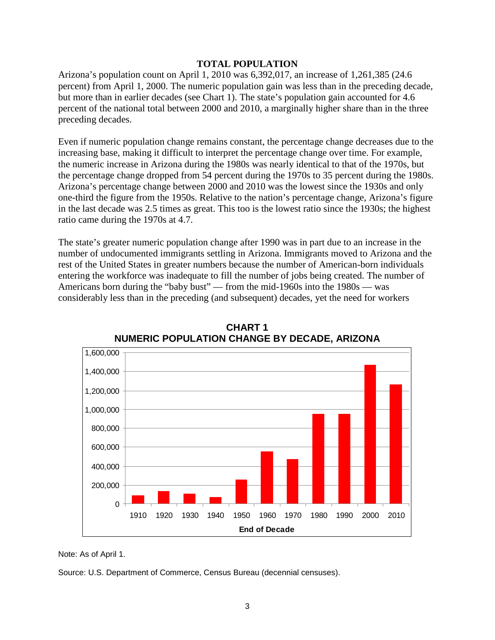#### **TOTAL POPULATION**

Arizona's population count on April 1, 2010 was 6,392,017, an increase of 1,261,385 (24.6 percent) from April 1, 2000. The numeric population gain was less than in the preceding decade, but more than in earlier decades (see Chart 1). The state's population gain accounted for 4.6 percent of the national total between 2000 and 2010, a marginally higher share than in the three preceding decades.

Even if numeric population change remains constant, the percentage change decreases due to the increasing base, making it difficult to interpret the percentage change over time. For example, the numeric increase in Arizona during the 1980s was nearly identical to that of the 1970s, but the percentage change dropped from 54 percent during the 1970s to 35 percent during the 1980s. Arizona's percentage change between 2000 and 2010 was the lowest since the 1930s and only one-third the figure from the 1950s. Relative to the nation's percentage change, Arizona's figure in the last decade was 2.5 times as great. This too is the lowest ratio since the 1930s; the highest ratio came during the 1970s at 4.7.

The state's greater numeric population change after 1990 was in part due to an increase in the number of undocumented immigrants settling in Arizona. Immigrants moved to Arizona and the rest of the United States in greater numbers because the number of American-born individuals entering the workforce was inadequate to fill the number of jobs being created. The number of Americans born during the "baby bust" — from the mid-1960s into the 1980s — was considerably less than in the preceding (and subsequent) decades, yet the need for workers



**CHART 1 NUMERIC POPULATION CHANGE BY DECADE, ARIZONA**

Note: As of April 1.

Source: U.S. Department of Commerce, Census Bureau (decennial censuses).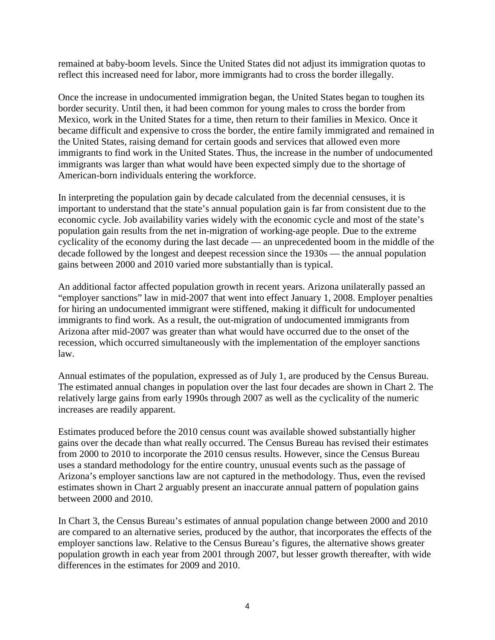remained at baby-boom levels. Since the United States did not adjust its immigration quotas to reflect this increased need for labor, more immigrants had to cross the border illegally.

Once the increase in undocumented immigration began, the United States began to toughen its border security. Until then, it had been common for young males to cross the border from Mexico, work in the United States for a time, then return to their families in Mexico. Once it became difficult and expensive to cross the border, the entire family immigrated and remained in the United States, raising demand for certain goods and services that allowed even more immigrants to find work in the United States. Thus, the increase in the number of undocumented immigrants was larger than what would have been expected simply due to the shortage of American-born individuals entering the workforce.

In interpreting the population gain by decade calculated from the decennial censuses, it is important to understand that the state's annual population gain is far from consistent due to the economic cycle. Job availability varies widely with the economic cycle and most of the state's population gain results from the net in-migration of working-age people. Due to the extreme cyclicality of the economy during the last decade — an unprecedented boom in the middle of the decade followed by the longest and deepest recession since the 1930s — the annual population gains between 2000 and 2010 varied more substantially than is typical.

An additional factor affected population growth in recent years. Arizona unilaterally passed an "employer sanctions" law in mid-2007 that went into effect January 1, 2008. Employer penalties for hiring an undocumented immigrant were stiffened, making it difficult for undocumented immigrants to find work. As a result, the out-migration of undocumented immigrants from Arizona after mid-2007 was greater than what would have occurred due to the onset of the recession, which occurred simultaneously with the implementation of the employer sanctions law.

Annual estimates of the population, expressed as of July 1, are produced by the Census Bureau. The estimated annual changes in population over the last four decades are shown in Chart 2. The relatively large gains from early 1990s through 2007 as well as the cyclicality of the numeric increases are readily apparent.

Estimates produced before the 2010 census count was available showed substantially higher gains over the decade than what really occurred. The Census Bureau has revised their estimates from 2000 to 2010 to incorporate the 2010 census results. However, since the Census Bureau uses a standard methodology for the entire country, unusual events such as the passage of Arizona's employer sanctions law are not captured in the methodology. Thus, even the revised estimates shown in Chart 2 arguably present an inaccurate annual pattern of population gains between 2000 and 2010.

In Chart 3, the Census Bureau's estimates of annual population change between 2000 and 2010 are compared to an alternative series, produced by the author, that incorporates the effects of the employer sanctions law. Relative to the Census Bureau's figures, the alternative shows greater population growth in each year from 2001 through 2007, but lesser growth thereafter, with wide differences in the estimates for 2009 and 2010.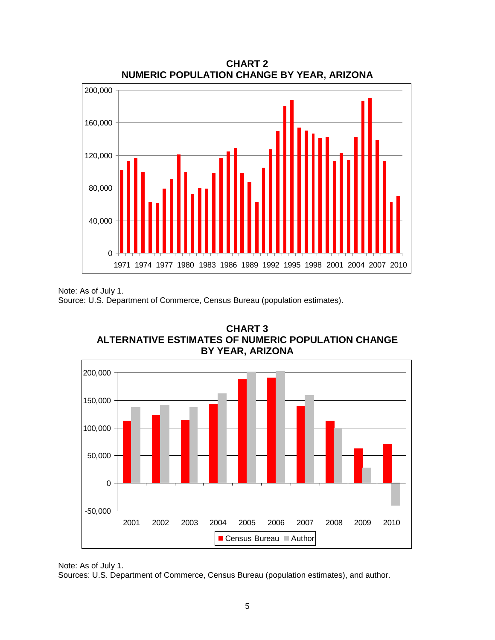

**CHART 2 NUMERIC POPULATION CHANGE BY YEAR, ARIZONA**

Note: As of July 1.

Source: U.S. Department of Commerce, Census Bureau (population estimates).





Sources: U.S. Department of Commerce, Census Bureau (population estimates), and author.

Note: As of July 1.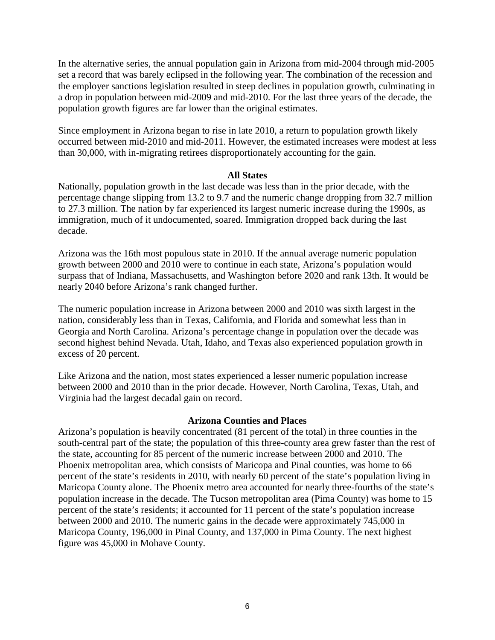In the alternative series, the annual population gain in Arizona from mid-2004 through mid-2005 set a record that was barely eclipsed in the following year. The combination of the recession and the employer sanctions legislation resulted in steep declines in population growth, culminating in a drop in population between mid-2009 and mid-2010. For the last three years of the decade, the population growth figures are far lower than the original estimates.

Since employment in Arizona began to rise in late 2010, a return to population growth likely occurred between mid-2010 and mid-2011. However, the estimated increases were modest at less than 30,000, with in-migrating retirees disproportionately accounting for the gain.

#### **All States**

Nationally, population growth in the last decade was less than in the prior decade, with the percentage change slipping from 13.2 to 9.7 and the numeric change dropping from 32.7 million to 27.3 million. The nation by far experienced its largest numeric increase during the 1990s, as immigration, much of it undocumented, soared. Immigration dropped back during the last decade.

Arizona was the 16th most populous state in 2010. If the annual average numeric population growth between 2000 and 2010 were to continue in each state, Arizona's population would surpass that of Indiana, Massachusetts, and Washington before 2020 and rank 13th. It would be nearly 2040 before Arizona's rank changed further.

The numeric population increase in Arizona between 2000 and 2010 was sixth largest in the nation, considerably less than in Texas, California, and Florida and somewhat less than in Georgia and North Carolina. Arizona's percentage change in population over the decade was second highest behind Nevada. Utah, Idaho, and Texas also experienced population growth in excess of 20 percent.

Like Arizona and the nation, most states experienced a lesser numeric population increase between 2000 and 2010 than in the prior decade. However, North Carolina, Texas, Utah, and Virginia had the largest decadal gain on record.

#### **Arizona Counties and Places**

Arizona's population is heavily concentrated (81 percent of the total) in three counties in the south-central part of the state; the population of this three-county area grew faster than the rest of the state, accounting for 85 percent of the numeric increase between 2000 and 2010. The Phoenix metropolitan area, which consists of Maricopa and Pinal counties, was home to 66 percent of the state's residents in 2010, with nearly 60 percent of the state's population living in Maricopa County alone. The Phoenix metro area accounted for nearly three-fourths of the state's population increase in the decade. The Tucson metropolitan area (Pima County) was home to 15 percent of the state's residents; it accounted for 11 percent of the state's population increase between 2000 and 2010. The numeric gains in the decade were approximately 745,000 in Maricopa County, 196,000 in Pinal County, and 137,000 in Pima County. The next highest figure was 45,000 in Mohave County.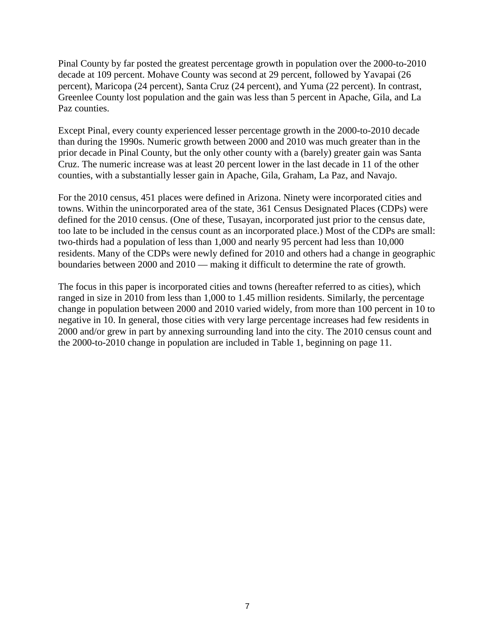Pinal County by far posted the greatest percentage growth in population over the 2000-to-2010 decade at 109 percent. Mohave County was second at 29 percent, followed by Yavapai (26 percent), Maricopa (24 percent), Santa Cruz (24 percent), and Yuma (22 percent). In contrast, Greenlee County lost population and the gain was less than 5 percent in Apache, Gila, and La Paz counties.

Except Pinal, every county experienced lesser percentage growth in the 2000-to-2010 decade than during the 1990s. Numeric growth between 2000 and 2010 was much greater than in the prior decade in Pinal County, but the only other county with a (barely) greater gain was Santa Cruz. The numeric increase was at least 20 percent lower in the last decade in 11 of the other counties, with a substantially lesser gain in Apache, Gila, Graham, La Paz, and Navajo.

For the 2010 census, 451 places were defined in Arizona. Ninety were incorporated cities and towns. Within the unincorporated area of the state, 361 Census Designated Places (CDPs) were defined for the 2010 census. (One of these, Tusayan, incorporated just prior to the census date, too late to be included in the census count as an incorporated place.) Most of the CDPs are small: two-thirds had a population of less than 1,000 and nearly 95 percent had less than 10,000 residents. Many of the CDPs were newly defined for 2010 and others had a change in geographic boundaries between 2000 and 2010 — making it difficult to determine the rate of growth.

The focus in this paper is incorporated cities and towns (hereafter referred to as cities), which ranged in size in 2010 from less than 1,000 to 1.45 million residents. Similarly, the percentage change in population between 2000 and 2010 varied widely, from more than 100 percent in 10 to negative in 10. In general, those cities with very large percentage increases had few residents in 2000 and/or grew in part by annexing surrounding land into the city. The 2010 census count and the 2000-to-2010 change in population are included in Table 1, beginning on page 11.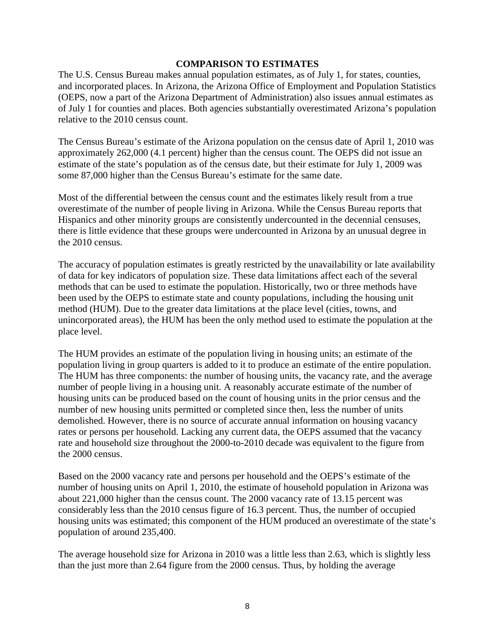#### **COMPARISON TO ESTIMATES**

The U.S. Census Bureau makes annual population estimates, as of July 1, for states, counties, and incorporated places. In Arizona, the Arizona Office of Employment and Population Statistics (OEPS, now a part of the Arizona Department of Administration) also issues annual estimates as of July 1 for counties and places. Both agencies substantially overestimated Arizona's population relative to the 2010 census count.

The Census Bureau's estimate of the Arizona population on the census date of April 1, 2010 was approximately 262,000 (4.1 percent) higher than the census count. The OEPS did not issue an estimate of the state's population as of the census date, but their estimate for July 1, 2009 was some 87,000 higher than the Census Bureau's estimate for the same date.

Most of the differential between the census count and the estimates likely result from a true overestimate of the number of people living in Arizona. While the Census Bureau reports that Hispanics and other minority groups are consistently undercounted in the decennial censuses, there is little evidence that these groups were undercounted in Arizona by an unusual degree in the 2010 census.

The accuracy of population estimates is greatly restricted by the unavailability or late availability of data for key indicators of population size. These data limitations affect each of the several methods that can be used to estimate the population. Historically, two or three methods have been used by the OEPS to estimate state and county populations, including the housing unit method (HUM). Due to the greater data limitations at the place level (cities, towns, and unincorporated areas), the HUM has been the only method used to estimate the population at the place level.

The HUM provides an estimate of the population living in housing units; an estimate of the population living in group quarters is added to it to produce an estimate of the entire population. The HUM has three components: the number of housing units, the vacancy rate, and the average number of people living in a housing unit. A reasonably accurate estimate of the number of housing units can be produced based on the count of housing units in the prior census and the number of new housing units permitted or completed since then, less the number of units demolished. However, there is no source of accurate annual information on housing vacancy rates or persons per household. Lacking any current data, the OEPS assumed that the vacancy rate and household size throughout the 2000-to-2010 decade was equivalent to the figure from the 2000 census.

Based on the 2000 vacancy rate and persons per household and the OEPS's estimate of the number of housing units on April 1, 2010, the estimate of household population in Arizona was about 221,000 higher than the census count. The 2000 vacancy rate of 13.15 percent was considerably less than the 2010 census figure of 16.3 percent. Thus, the number of occupied housing units was estimated; this component of the HUM produced an overestimate of the state's population of around 235,400.

The average household size for Arizona in 2010 was a little less than 2.63, which is slightly less than the just more than 2.64 figure from the 2000 census. Thus, by holding the average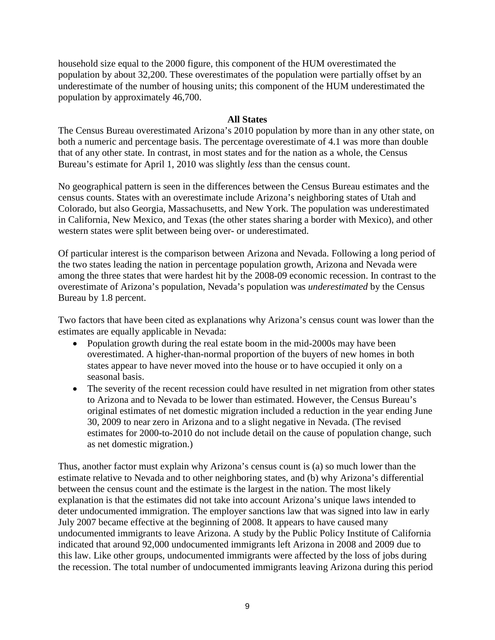household size equal to the 2000 figure, this component of the HUM overestimated the population by about 32,200. These overestimates of the population were partially offset by an underestimate of the number of housing units; this component of the HUM underestimated the population by approximately 46,700.

#### **All States**

The Census Bureau overestimated Arizona's 2010 population by more than in any other state, on both a numeric and percentage basis. The percentage overestimate of 4.1 was more than double that of any other state. In contrast, in most states and for the nation as a whole, the Census Bureau's estimate for April 1, 2010 was slightly *less* than the census count.

No geographical pattern is seen in the differences between the Census Bureau estimates and the census counts. States with an overestimate include Arizona's neighboring states of Utah and Colorado, but also Georgia, Massachusetts, and New York. The population was underestimated in California, New Mexico, and Texas (the other states sharing a border with Mexico), and other western states were split between being over- or underestimated.

Of particular interest is the comparison between Arizona and Nevada. Following a long period of the two states leading the nation in percentage population growth, Arizona and Nevada were among the three states that were hardest hit by the 2008-09 economic recession. In contrast to the overestimate of Arizona's population, Nevada's population was *underestimated* by the Census Bureau by 1.8 percent.

Two factors that have been cited as explanations why Arizona's census count was lower than the estimates are equally applicable in Nevada:

- Population growth during the real estate boom in the mid-2000s may have been overestimated. A higher-than-normal proportion of the buyers of new homes in both states appear to have never moved into the house or to have occupied it only on a seasonal basis.
- The severity of the recent recession could have resulted in net migration from other states to Arizona and to Nevada to be lower than estimated. However, the Census Bureau's original estimates of net domestic migration included a reduction in the year ending June 30, 2009 to near zero in Arizona and to a slight negative in Nevada. (The revised estimates for 2000-to-2010 do not include detail on the cause of population change, such as net domestic migration.)

Thus, another factor must explain why Arizona's census count is (a) so much lower than the estimate relative to Nevada and to other neighboring states, and (b) why Arizona's differential between the census count and the estimate is the largest in the nation. The most likely explanation is that the estimates did not take into account Arizona's unique laws intended to deter undocumented immigration. The employer sanctions law that was signed into law in early July 2007 became effective at the beginning of 2008. It appears to have caused many undocumented immigrants to leave Arizona. A study by the Public Policy Institute of California indicated that around 92,000 undocumented immigrants left Arizona in 2008 and 2009 due to this law. Like other groups, undocumented immigrants were affected by the loss of jobs during the recession. The total number of undocumented immigrants leaving Arizona during this period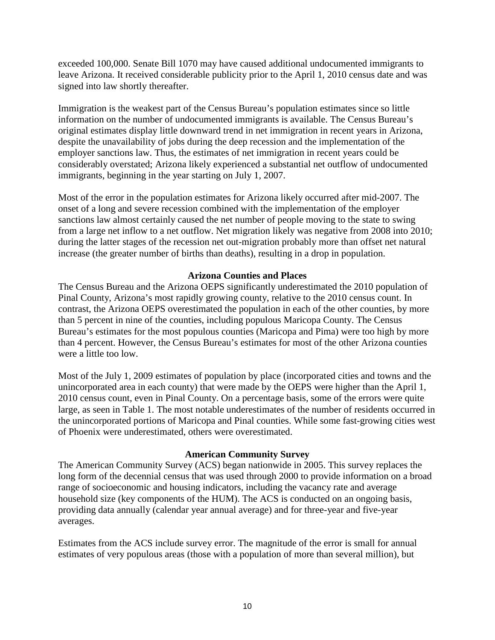exceeded 100,000. Senate Bill 1070 may have caused additional undocumented immigrants to leave Arizona. It received considerable publicity prior to the April 1, 2010 census date and was signed into law shortly thereafter.

Immigration is the weakest part of the Census Bureau's population estimates since so little information on the number of undocumented immigrants is available. The Census Bureau's original estimates display little downward trend in net immigration in recent years in Arizona, despite the unavailability of jobs during the deep recession and the implementation of the employer sanctions law. Thus, the estimates of net immigration in recent years could be considerably overstated; Arizona likely experienced a substantial net outflow of undocumented immigrants, beginning in the year starting on July 1, 2007.

Most of the error in the population estimates for Arizona likely occurred after mid-2007. The onset of a long and severe recession combined with the implementation of the employer sanctions law almost certainly caused the net number of people moving to the state to swing from a large net inflow to a net outflow. Net migration likely was negative from 2008 into 2010; during the latter stages of the recession net out-migration probably more than offset net natural increase (the greater number of births than deaths), resulting in a drop in population.

#### **Arizona Counties and Places**

The Census Bureau and the Arizona OEPS significantly underestimated the 2010 population of Pinal County, Arizona's most rapidly growing county, relative to the 2010 census count. In contrast, the Arizona OEPS overestimated the population in each of the other counties, by more than 5 percent in nine of the counties, including populous Maricopa County. The Census Bureau's estimates for the most populous counties (Maricopa and Pima) were too high by more than 4 percent. However, the Census Bureau's estimates for most of the other Arizona counties were a little too low.

Most of the July 1, 2009 estimates of population by place (incorporated cities and towns and the unincorporated area in each county) that were made by the OEPS were higher than the April 1, 2010 census count, even in Pinal County. On a percentage basis, some of the errors were quite large, as seen in Table 1. The most notable underestimates of the number of residents occurred in the unincorporated portions of Maricopa and Pinal counties. While some fast-growing cities west of Phoenix were underestimated, others were overestimated.

#### **American Community Survey**

The American Community Survey (ACS) began nationwide in 2005. This survey replaces the long form of the decennial census that was used through 2000 to provide information on a broad range of socioeconomic and housing indicators, including the vacancy rate and average household size (key components of the HUM). The ACS is conducted on an ongoing basis, providing data annually (calendar year annual average) and for three-year and five-year averages.

Estimates from the ACS include survey error. The magnitude of the error is small for annual estimates of very populous areas (those with a population of more than several million), but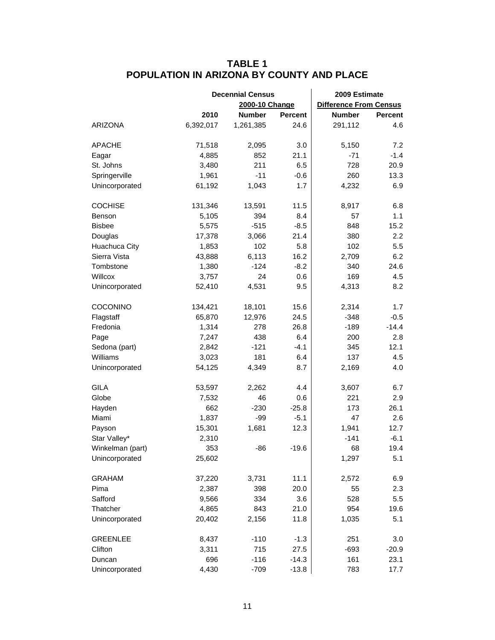### **TABLE 1 POPULATION IN ARIZONA BY COUNTY AND PLACE**

|                  |           | <b>Decennial Census</b> |                | 2009 Estimate                 |                |
|------------------|-----------|-------------------------|----------------|-------------------------------|----------------|
|                  |           | 2000-10 Change          |                | <b>Difference From Census</b> |                |
|                  | 2010      | <b>Number</b>           | <b>Percent</b> | <b>Number</b>                 | <b>Percent</b> |
| <b>ARIZONA</b>   | 6,392,017 | 1,261,385               | 24.6           | 291,112                       | 4.6            |
| <b>APACHE</b>    | 71,518    | 2,095                   | 3.0            | 5,150                         | 7.2            |
| Eagar            | 4,885     | 852                     | 21.1           | $-71$                         | $-1.4$         |
| St. Johns        | 3,480     | 211                     | 6.5            | 728                           | 20.9           |
| Springerville    | 1,961     | $-11$                   | $-0.6$         | 260                           | 13.3           |
| Unincorporated   | 61,192    | 1,043                   | 1.7            | 4,232                         | 6.9            |
| <b>COCHISE</b>   | 131,346   | 13,591                  | 11.5           | 8,917                         | 6.8            |
| Benson           | 5,105     | 394                     | 8.4            | 57                            | 1.1            |
| <b>Bisbee</b>    | 5,575     | $-515$                  | $-8.5$         | 848                           | 15.2           |
| Douglas          | 17,378    | 3,066                   | 21.4           | 380                           | 2.2            |
| Huachuca City    | 1,853     | 102                     | 5.8            | 102                           | 5.5            |
| Sierra Vista     | 43,888    | 6,113                   | 16.2           | 2,709                         | 6.2            |
| Tombstone        | 1,380     | $-124$                  | $-8.2$         | 340                           | 24.6           |
| Willcox          | 3,757     | 24                      | 0.6            | 169                           | 4.5            |
| Unincorporated   | 52,410    | 4,531                   | 9.5            | 4,313                         | 8.2            |
| <b>COCONINO</b>  | 134,421   | 18,101                  | 15.6           | 2,314                         | 1.7            |
| Flagstaff        | 65,870    | 12,976                  | 24.5           | $-348$                        | $-0.5$         |
| Fredonia         | 1,314     | 278                     | 26.8           | $-189$                        | $-14.4$        |
| Page             | 7,247     | 438                     | 6.4            | 200                           | 2.8            |
| Sedona (part)    | 2,842     | $-121$                  | $-4.1$         | 345                           | 12.1           |
| Williams         | 3,023     | 181                     | 6.4            | 137                           | 4.5            |
| Unincorporated   | 54,125    | 4,349                   | 8.7            | 2,169                         | 4.0            |
| <b>GILA</b>      | 53,597    | 2,262                   | 4.4            | 3,607                         | 6.7            |
| Globe            | 7,532     | 46                      | 0.6            | 221                           | 2.9            |
| Hayden           | 662       | $-230$                  | $-25.8$        | 173                           | 26.1           |
| Miami            | 1,837     | $-99$                   | $-5.1$         | 47                            | 2.6            |
| Payson           | 15,301    | 1,681                   | 12.3           | 1,941                         | 12.7           |
| Star Valley*     | 2,310     |                         |                | $-141$                        | $-6.1$         |
| Winkelman (part) | 353       | -86                     | $-19.6$        | 68                            | 19.4           |
| Unincorporated   | 25,602    |                         |                | 1,297                         | 5.1            |
| <b>GRAHAM</b>    | 37,220    | 3,731                   | 11.1           | 2,572                         | 6.9            |
| Pima             | 2,387     | 398                     | 20.0           | 55                            | 2.3            |
| Safford          | 9,566     | 334                     | 3.6            | 528                           | 5.5            |
| Thatcher         | 4,865     | 843                     | 21.0           | 954                           | 19.6           |
| Unincorporated   | 20,402    | 2,156                   | 11.8           | 1,035                         | 5.1            |
| <b>GREENLEE</b>  | 8,437     | $-110$                  | $-1.3$         | 251                           | 3.0            |
| Clifton          | 3,311     | 715                     | 27.5           | $-693$                        | $-20.9$        |
| Duncan           | 696       | $-116$                  | $-14.3$        | 161                           | 23.1           |
| Unincorporated   | 4,430     | $-709$                  | $-13.8$        | 783                           | 17.7           |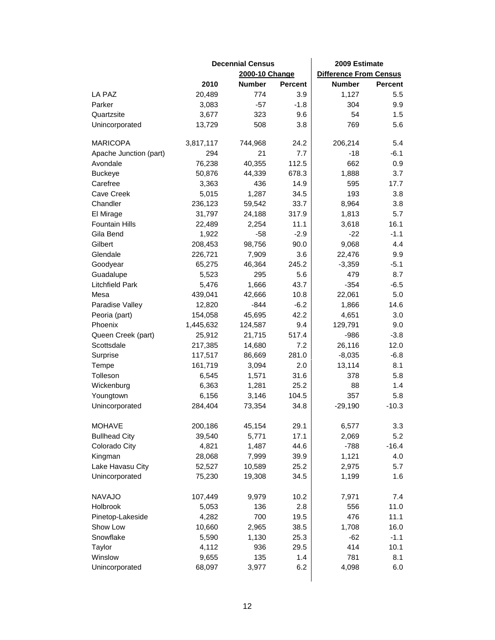|                        | <b>Decennial Census</b> |                |                | 2009 Estimate                 |                |  |
|------------------------|-------------------------|----------------|----------------|-------------------------------|----------------|--|
|                        |                         | 2000-10 Change |                | <b>Difference From Census</b> |                |  |
|                        | 2010                    | <b>Number</b>  | <b>Percent</b> | <b>Number</b>                 | <b>Percent</b> |  |
| LA PAZ                 | 20,489                  | 774            | 3.9            | 1,127                         | $5.5\,$        |  |
| Parker                 | 3,083                   | $-57$          | $-1.8$         | 304                           | 9.9            |  |
| Quartzsite             | 3,677                   | 323            | 9.6            | 54                            | 1.5            |  |
| Unincorporated         | 13,729                  | 508            | 3.8            | 769                           | 5.6            |  |
|                        |                         |                |                |                               |                |  |
| <b>MARICOPA</b>        | 3,817,117               | 744,968        | 24.2           | 206,214                       | 5.4            |  |
| Apache Junction (part) | 294                     | 21             | 7.7            | $-18$                         | $-6.1$         |  |
| Avondale               | 76,238                  | 40,355         | 112.5          | 662                           | 0.9            |  |
| <b>Buckeye</b>         | 50,876                  | 44,339         | 678.3          | 1,888                         | 3.7            |  |
| Carefree               | 3,363                   | 436            | 14.9           | 595                           | 17.7           |  |
| Cave Creek             | 5,015                   | 1,287          | 34.5           | 193                           | 3.8            |  |
| Chandler               | 236,123                 | 59,542         | 33.7           | 8,964                         | 3.8            |  |
| El Mirage              | 31,797                  | 24,188         | 317.9          | 1,813                         | 5.7            |  |
| <b>Fountain Hills</b>  | 22,489                  | 2,254          | 11.1           | 3,618                         | 16.1           |  |
| Gila Bend              | 1,922                   | $-58$          | $-2.9$         | $-22$                         | $-1.1$         |  |
| Gilbert                | 208,453                 | 98,756         | 90.0           | 9,068                         | 4.4            |  |
| Glendale               | 226,721                 | 7,909          | 3.6            | 22,476                        | 9.9            |  |
| Goodyear               | 65,275                  | 46,364         | 245.2          | $-3,359$                      | $-5.1$         |  |
| Guadalupe              | 5,523                   | 295            | 5.6            | 479                           | 8.7            |  |
| <b>Litchfield Park</b> | 5,476                   | 1,666          | 43.7           | $-354$                        | $-6.5$         |  |
| Mesa                   | 439,041                 | 42,666         | 10.8           | 22,061                        | 5.0            |  |
| Paradise Valley        | 12,820                  | $-844$         | $-6.2$         | 1,866                         | 14.6           |  |
| Peoria (part)          | 154,058                 | 45,695         | 42.2           | 4,651                         | 3.0            |  |
| Phoenix                | 1,445,632               | 124,587        | 9.4            | 129,791                       | 9.0            |  |
| Queen Creek (part)     | 25,912                  | 21,715         | 517.4          | $-986$                        | $-3.8$         |  |
| Scottsdale             | 217,385                 | 14,680         | 7.2            | 26,116                        | 12.0           |  |
| Surprise               | 117,517                 | 86,669         | 281.0          | $-8,035$                      | $-6.8$         |  |
| Tempe                  | 161,719                 | 3,094          | 2.0            | 13,114                        | 8.1            |  |
| Tolleson               | 6,545                   | 1,571          | 31.6           | 378                           | 5.8            |  |
| Wickenburg             | 6,363                   | 1,281          | 25.2           | 88                            | 1.4            |  |
| Youngtown              | 6,156                   | 3,146          | 104.5          | 357                           | 5.8            |  |
| Unincorporated         | 284,404                 | 73,354         | 34.8           | $-29,190$                     | $-10.3$        |  |
|                        |                         |                |                |                               |                |  |
| <b>MOHAVE</b>          | 200,186                 | 45,154         | 29.1           | 6,577                         | 3.3            |  |
| <b>Bullhead City</b>   | 39,540                  | 5,771          | 17.1           | 2,069                         | 5.2            |  |
| Colorado City          | 4,821                   | 1,487          | 44.6           | $-788$                        | $-16.4$        |  |
| Kingman                | 28,068                  | 7,999          | 39.9           | 1,121                         | 4.0            |  |
| Lake Havasu City       | 52,527                  | 10,589         | 25.2           | 2,975                         | 5.7            |  |
| Unincorporated         | 75,230                  | 19,308         | 34.5           | 1,199                         | 1.6            |  |
| <b>NAVAJO</b>          | 107,449                 | 9,979          | 10.2           | 7,971                         | 7.4            |  |
| Holbrook               | 5,053                   | 136            | 2.8            | 556                           | 11.0           |  |
| Pinetop-Lakeside       | 4,282                   | 700            | 19.5           | 476                           | 11.1           |  |
| Show Low               | 10,660                  | 2,965          | 38.5           | 1,708                         | 16.0           |  |
| Snowflake              | 5,590                   | 1,130          | 25.3           | $-62$                         | $-1.1$         |  |
| Taylor                 | 4,112                   | 936            | 29.5           | 414                           | 10.1           |  |
| Winslow                | 9,655                   | 135            | 1.4            | 781                           | 8.1            |  |
| Unincorporated         | 68,097                  | 3,977          | 6.2            | 4,098                         | 6.0            |  |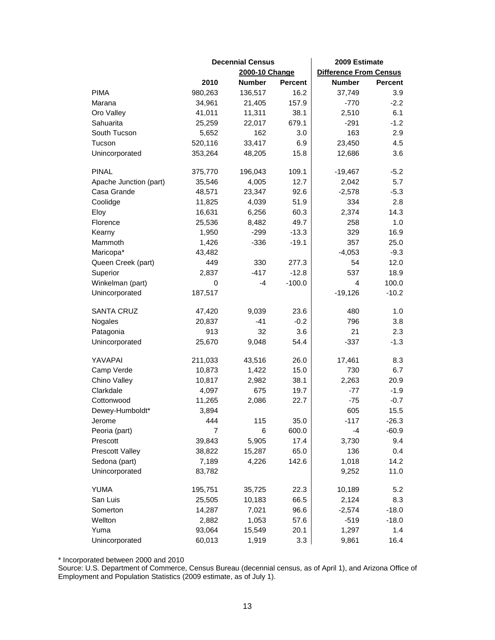|                        | <b>Decennial Census</b> |                |                | 2009 Estimate                 |                |
|------------------------|-------------------------|----------------|----------------|-------------------------------|----------------|
|                        |                         | 2000-10 Change |                | <b>Difference From Census</b> |                |
|                        | 2010                    | <b>Number</b>  | <b>Percent</b> | <b>Number</b>                 | <b>Percent</b> |
| <b>PIMA</b>            | 980,263                 | 136,517        | 16.2           | 37,749                        | 3.9            |
| Marana                 | 34,961                  | 21,405         | 157.9          | $-770$                        | $-2.2$         |
| Oro Valley             | 41,011                  | 11,311         | 38.1           | 2,510                         | 6.1            |
| Sahuarita              | 25,259                  | 22,017         | 679.1          | $-291$                        | $-1.2$         |
| South Tucson           | 5,652                   | 162            | 3.0            | 163                           | 2.9            |
| Tucson                 | 520,116                 | 33,417         | 6.9            | 23,450                        | 4.5            |
| Unincorporated         | 353,264                 | 48,205         | 15.8           | 12,686                        | 3.6            |
| <b>PINAL</b>           | 375,770                 | 196,043        | 109.1          | $-19,467$                     | $-5.2$         |
| Apache Junction (part) | 35,546                  | 4,005          | 12.7           | 2,042                         | 5.7            |
| Casa Grande            | 48,571                  | 23,347         | 92.6           | $-2,578$                      | $-5.3$         |
| Coolidge               | 11,825                  | 4,039          | 51.9           | 334                           | 2.8            |
| Eloy                   | 16,631                  | 6,256          | 60.3           | 2,374                         | 14.3           |
| Florence               | 25,536                  | 8,482          | 49.7           | 258                           | 1.0            |
| Kearny                 | 1,950                   | $-299$         | $-13.3$        | 329                           | 16.9           |
| Mammoth                | 1,426                   | $-336$         | $-19.1$        | 357                           | 25.0           |
| Maricopa*              | 43,482                  |                |                | $-4,053$                      | $-9.3$         |
| Queen Creek (part)     | 449                     | 330            | 277.3          | 54                            | 12.0           |
| Superior               | 2,837                   | $-417$         | $-12.8$        | 537                           | 18.9           |
| Winkelman (part)       | 0                       | -4             | $-100.0$       | 4                             | 100.0          |
| Unincorporated         | 187,517                 |                |                | $-19,126$                     | $-10.2$        |
| <b>SANTA CRUZ</b>      | 47,420                  | 9,039          | 23.6           | 480                           | 1.0            |
| Nogales                | 20,837                  | $-41$          | $-0.2$         | 796                           | 3.8            |
| Patagonia              | 913                     | 32             | 3.6            | 21                            | 2.3            |
| Unincorporated         | 25,670                  | 9,048          | 54.4           | $-337$                        | $-1.3$         |
| YAVAPAI                | 211,033                 | 43,516         | 26.0           | 17,461                        | 8.3            |
| Camp Verde             | 10,873                  | 1,422          | 15.0           | 730                           | 6.7            |
| Chino Valley           | 10,817                  | 2,982          | 38.1           | 2,263                         | 20.9           |
| Clarkdale              | 4,097                   | 675            | 19.7           | $-77$                         | $-1.9$         |
| Cottonwood             | 11,265                  | 2,086          | 22.7           | $-75$                         | $-0.7$         |
| Dewey-Humboldt*        | 3,894                   |                |                | 605                           | 15.5           |
| Jerome                 | 444                     | 115            | 35.0           | $-117$                        | $-26.3$        |
| Peoria (part)          | 7                       | 6              | 600.0          | -4                            | $-60.9$        |
| Prescott               | 39,843                  | 5,905          | 17.4           | 3,730                         | 9.4            |
| <b>Prescott Valley</b> | 38,822                  | 15,287         | 65.0           | 136                           | 0.4            |
| Sedona (part)          | 7,189                   | 4,226          | 142.6          | 1,018                         | 14.2           |
| Unincorporated         | 83,782                  |                |                | 9,252                         | 11.0           |
| <b>YUMA</b>            | 195,751                 | 35,725         | 22.3           | 10,189                        | 5.2            |
| San Luis               | 25,505                  | 10,183         | 66.5           | 2,124                         | 8.3            |
| Somerton               | 14,287                  | 7,021          | 96.6           | $-2,574$                      | $-18.0$        |
| Wellton                | 2,882                   | 1,053          | 57.6           | $-519$                        | $-18.0$        |
| Yuma                   | 93,064                  | 15,549         | 20.1           | 1,297                         | 1.4            |
| Unincorporated         | 60,013                  | 1,919          | 3.3            | 9,861                         | 16.4           |

\* Incorporated between 2000 and 2010

Source: U.S. Department of Commerce, Census Bureau (decennial census, as of April 1), and Arizona Office of Employment and Population Statistics (2009 estimate, as of July 1).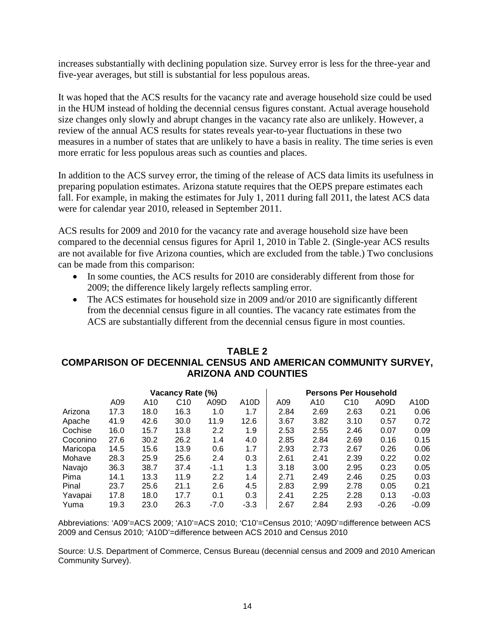increases substantially with declining population size. Survey error is less for the three-year and five-year averages, but still is substantial for less populous areas.

It was hoped that the ACS results for the vacancy rate and average household size could be used in the HUM instead of holding the decennial census figures constant. Actual average household size changes only slowly and abrupt changes in the vacancy rate also are unlikely. However, a review of the annual ACS results for states reveals year-to-year fluctuations in these two measures in a number of states that are unlikely to have a basis in reality. The time series is even more erratic for less populous areas such as counties and places.

In addition to the ACS survey error, the timing of the release of ACS data limits its usefulness in preparing population estimates. Arizona statute requires that the OEPS prepare estimates each fall. For example, in making the estimates for July 1, 2011 during fall 2011, the latest ACS data were for calendar year 2010, released in September 2011.

ACS results for 2009 and 2010 for the vacancy rate and average household size have been compared to the decennial census figures for April 1, 2010 in Table 2. (Single-year ACS results are not available for five Arizona counties, which are excluded from the table.) Two conclusions can be made from this comparison:

- In some counties, the ACS results for 2010 are considerably different from those for 2009; the difference likely largely reflects sampling error.
- The ACS estimates for household size in 2009 and/or 2010 are significantly different from the decennial census figure in all counties. The vacancy rate estimates from the ACS are substantially different from the decennial census figure in most counties.

### **TABLE 2 COMPARISON OF DECENNIAL CENSUS AND AMERICAN COMMUNITY SURVEY, ARIZONA AND COUNTIES**

| Vacancy Rate (%) |      |      |                 |                  |                   |      | <b>Persons Per Household</b> |                 |         |                   |
|------------------|------|------|-----------------|------------------|-------------------|------|------------------------------|-----------------|---------|-------------------|
|                  | A09  | A10  | C <sub>10</sub> | A09D             | A <sub>10</sub> D | A09  | A10                          | C <sub>10</sub> | A09D    | A <sub>10</sub> D |
| Arizona          | 17.3 | 18.0 | 16.3            | 1.0              | 1.7               | 2.84 | 2.69                         | 2.63            | 0.21    | 0.06              |
| Apache           | 41.9 | 42.6 | 30.0            | 11.9             | 12.6              | 3.67 | 3.82                         | 3.10            | 0.57    | 0.72              |
| Cochise          | 16.0 | 15.7 | 13.8            | 2.2              | 1.9               | 2.53 | 2.55                         | 2.46            | 0.07    | 0.09              |
| Coconino         | 27.6 | 30.2 | 26.2            | 1.4              | 4.0               | 2.85 | 2.84                         | 2.69            | 0.16    | 0.15              |
| Maricopa         | 14.5 | 15.6 | 13.9            | 0.6              | 1.7               | 2.93 | 2.73                         | 2.67            | 0.26    | 0.06              |
| Mohave           | 28.3 | 25.9 | 25.6            | 2.4              | 0.3               | 2.61 | 2.41                         | 2.39            | 0.22    | 0.02              |
| Navajo           | 36.3 | 38.7 | 37.4            | $-1.1$           | 1.3               | 3.18 | 3.00                         | 2.95            | 0.23    | 0.05              |
| Pima             | 14.1 | 13.3 | 11.9            | $2.2\phantom{0}$ | 1.4               | 2.71 | 2.49                         | 2.46            | 0.25    | 0.03              |
| Pinal            | 23.7 | 25.6 | 21.1            | 2.6              | 4.5               | 2.83 | 2.99                         | 2.78            | 0.05    | 0.21              |
| Yavapai          | 17.8 | 18.0 | 17.7            | 0.1              | 0.3               | 2.41 | 2.25                         | 2.28            | 0.13    | $-0.03$           |
| Yuma             | 19.3 | 23.0 | 26.3            | $-7.0$           | $-3.3$            | 2.67 | 2.84                         | 2.93            | $-0.26$ | $-0.09$           |

Abbreviations: 'A09'=ACS 2009; 'A10'=ACS 2010; 'C10'=Census 2010; 'A09D'=difference between ACS 2009 and Census 2010; 'A10D'=difference between ACS 2010 and Census 2010

Source: U.S. Department of Commerce, Census Bureau (decennial census and 2009 and 2010 American Community Survey).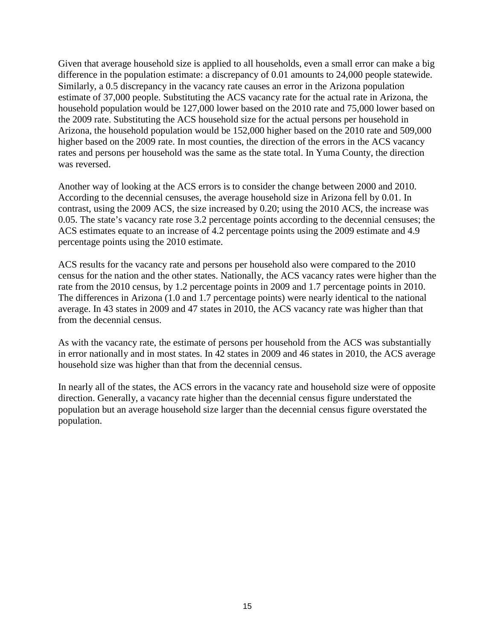Given that average household size is applied to all households, even a small error can make a big difference in the population estimate: a discrepancy of 0.01 amounts to 24,000 people statewide. Similarly, a 0.5 discrepancy in the vacancy rate causes an error in the Arizona population estimate of 37,000 people. Substituting the ACS vacancy rate for the actual rate in Arizona, the household population would be 127,000 lower based on the 2010 rate and 75,000 lower based on the 2009 rate. Substituting the ACS household size for the actual persons per household in Arizona, the household population would be 152,000 higher based on the 2010 rate and 509,000 higher based on the 2009 rate. In most counties, the direction of the errors in the ACS vacancy rates and persons per household was the same as the state total. In Yuma County, the direction was reversed.

Another way of looking at the ACS errors is to consider the change between 2000 and 2010. According to the decennial censuses, the average household size in Arizona fell by 0.01. In contrast, using the 2009 ACS, the size increased by 0.20; using the 2010 ACS, the increase was 0.05. The state's vacancy rate rose 3.2 percentage points according to the decennial censuses; the ACS estimates equate to an increase of 4.2 percentage points using the 2009 estimate and 4.9 percentage points using the 2010 estimate.

ACS results for the vacancy rate and persons per household also were compared to the 2010 census for the nation and the other states. Nationally, the ACS vacancy rates were higher than the rate from the 2010 census, by 1.2 percentage points in 2009 and 1.7 percentage points in 2010. The differences in Arizona (1.0 and 1.7 percentage points) were nearly identical to the national average. In 43 states in 2009 and 47 states in 2010, the ACS vacancy rate was higher than that from the decennial census.

As with the vacancy rate, the estimate of persons per household from the ACS was substantially in error nationally and in most states. In 42 states in 2009 and 46 states in 2010, the ACS average household size was higher than that from the decennial census.

In nearly all of the states, the ACS errors in the vacancy rate and household size were of opposite direction. Generally, a vacancy rate higher than the decennial census figure understated the population but an average household size larger than the decennial census figure overstated the population.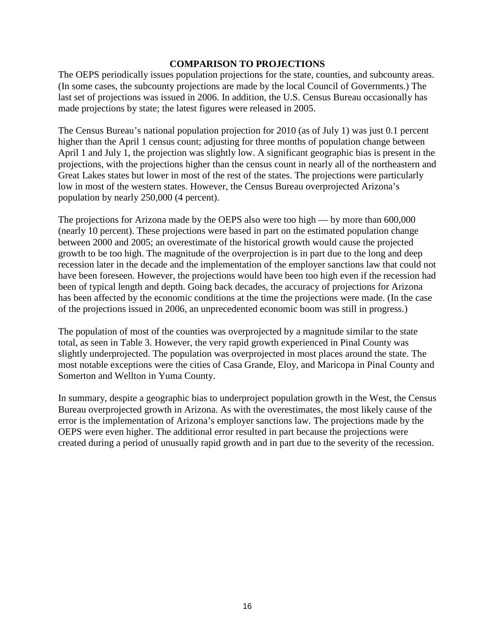#### **COMPARISON TO PROJECTIONS**

The OEPS periodically issues population projections for the state, counties, and subcounty areas. (In some cases, the subcounty projections are made by the local Council of Governments.) The last set of projections was issued in 2006. In addition, the U.S. Census Bureau occasionally has made projections by state; the latest figures were released in 2005.

The Census Bureau's national population projection for 2010 (as of July 1) was just 0.1 percent higher than the April 1 census count; adjusting for three months of population change between April 1 and July 1, the projection was slightly low. A significant geographic bias is present in the projections, with the projections higher than the census count in nearly all of the northeastern and Great Lakes states but lower in most of the rest of the states. The projections were particularly low in most of the western states. However, the Census Bureau overprojected Arizona's population by nearly 250,000 (4 percent).

The projections for Arizona made by the OEPS also were too high — by more than 600,000 (nearly 10 percent). These projections were based in part on the estimated population change between 2000 and 2005; an overestimate of the historical growth would cause the projected growth to be too high. The magnitude of the overprojection is in part due to the long and deep recession later in the decade and the implementation of the employer sanctions law that could not have been foreseen. However, the projections would have been too high even if the recession had been of typical length and depth. Going back decades, the accuracy of projections for Arizona has been affected by the economic conditions at the time the projections were made. (In the case of the projections issued in 2006, an unprecedented economic boom was still in progress.)

The population of most of the counties was overprojected by a magnitude similar to the state total, as seen in Table 3. However, the very rapid growth experienced in Pinal County was slightly underprojected. The population was overprojected in most places around the state. The most notable exceptions were the cities of Casa Grande, Eloy, and Maricopa in Pinal County and Somerton and Wellton in Yuma County.

In summary, despite a geographic bias to underproject population growth in the West, the Census Bureau overprojected growth in Arizona. As with the overestimates, the most likely cause of the error is the implementation of Arizona's employer sanctions law. The projections made by the OEPS were even higher. The additional error resulted in part because the projections were created during a period of unusually rapid growth and in part due to the severity of the recession.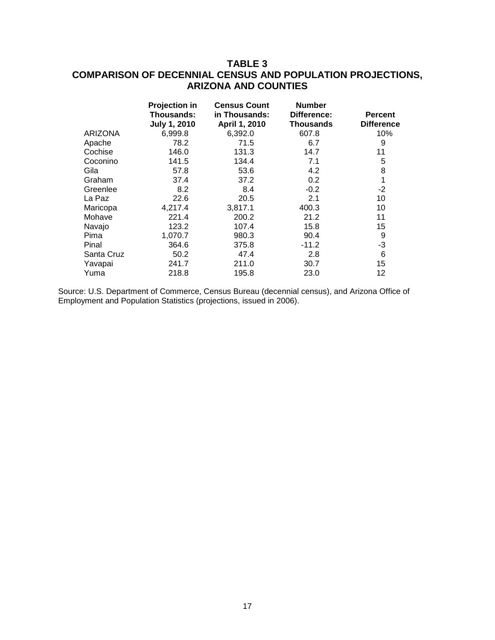### **TABLE 3 COMPARISON OF DECENNIAL CENSUS AND POPULATION PROJECTIONS, ARIZONA AND COUNTIES**

|                | Projection in<br>Thousands:<br><b>July 1, 2010</b> | <b>Census Count</b><br>in Thousands:<br>April 1, 2010 | <b>Number</b><br>Difference:<br>Thousands | <b>Percent</b><br><b>Difference</b> |
|----------------|----------------------------------------------------|-------------------------------------------------------|-------------------------------------------|-------------------------------------|
| <b>ARIZONA</b> | 6,999.8                                            | 6,392.0                                               | 607.8                                     | 10%                                 |
| Apache         | 78.2                                               | 71.5                                                  | 6.7                                       | 9                                   |
| Cochise        | 146.0                                              | 131.3                                                 | 14.7                                      | 11                                  |
| Coconino       | 141.5                                              | 134.4                                                 | 7.1                                       | 5                                   |
| Gila           | 57.8                                               | 53.6                                                  | 4.2                                       | 8                                   |
| Graham         | 37.4                                               | 37.2                                                  | 0.2                                       | 1                                   |
| Greenlee       | 8.2                                                | 8.4                                                   | $-0.2$                                    | -2                                  |
| La Paz         | 22.6                                               | 20.5                                                  | 2.1                                       | 10                                  |
| Maricopa       | 4,217.4                                            | 3,817.1                                               | 400.3                                     | 10                                  |
| Mohave         | 221.4                                              | 200.2                                                 | 21.2                                      | 11                                  |
| Navajo         | 123.2                                              | 107.4                                                 | 15.8                                      | 15                                  |
| Pima           | 1,070.7                                            | 980.3                                                 | 90.4                                      | 9                                   |
| Pinal          | 364.6                                              | 375.8                                                 | $-11.2$                                   | $-3$                                |
| Santa Cruz     | 50.2                                               | 47.4                                                  | 2.8                                       | 6                                   |
| Yavapai        | 241.7                                              | 211.0                                                 | 30.7                                      | 15                                  |
| Yuma           | 218.8                                              | 195.8                                                 | 23.0                                      | 12                                  |

Source: U.S. Department of Commerce, Census Bureau (decennial census), and Arizona Office of Employment and Population Statistics (projections, issued in 2006).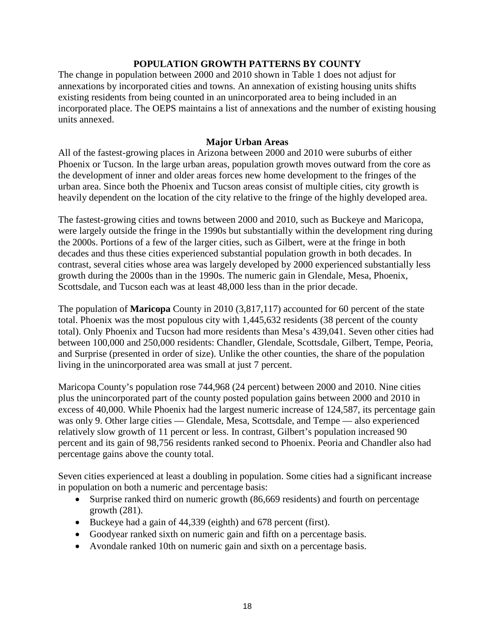#### **POPULATION GROWTH PATTERNS BY COUNTY**

The change in population between 2000 and 2010 shown in Table 1 does not adjust for annexations by incorporated cities and towns. An annexation of existing housing units shifts existing residents from being counted in an unincorporated area to being included in an incorporated place. The OEPS maintains a list of annexations and the number of existing housing units annexed.

#### **Major Urban Areas**

All of the fastest-growing places in Arizona between 2000 and 2010 were suburbs of either Phoenix or Tucson. In the large urban areas, population growth moves outward from the core as the development of inner and older areas forces new home development to the fringes of the urban area. Since both the Phoenix and Tucson areas consist of multiple cities, city growth is heavily dependent on the location of the city relative to the fringe of the highly developed area.

The fastest-growing cities and towns between 2000 and 2010, such as Buckeye and Maricopa, were largely outside the fringe in the 1990s but substantially within the development ring during the 2000s. Portions of a few of the larger cities, such as Gilbert, were at the fringe in both decades and thus these cities experienced substantial population growth in both decades. In contrast, several cities whose area was largely developed by 2000 experienced substantially less growth during the 2000s than in the 1990s. The numeric gain in Glendale, Mesa, Phoenix, Scottsdale, and Tucson each was at least 48,000 less than in the prior decade.

The population of **Maricopa** County in 2010 (3,817,117) accounted for 60 percent of the state total. Phoenix was the most populous city with 1,445,632 residents (38 percent of the county total). Only Phoenix and Tucson had more residents than Mesa's 439,041. Seven other cities had between 100,000 and 250,000 residents: Chandler, Glendale, Scottsdale, Gilbert, Tempe, Peoria, and Surprise (presented in order of size). Unlike the other counties, the share of the population living in the unincorporated area was small at just 7 percent.

Maricopa County's population rose 744,968 (24 percent) between 2000 and 2010. Nine cities plus the unincorporated part of the county posted population gains between 2000 and 2010 in excess of 40,000. While Phoenix had the largest numeric increase of 124,587, its percentage gain was only 9. Other large cities — Glendale, Mesa, Scottsdale, and Tempe — also experienced relatively slow growth of 11 percent or less. In contrast, Gilbert's population increased 90 percent and its gain of 98,756 residents ranked second to Phoenix. Peoria and Chandler also had percentage gains above the county total.

Seven cities experienced at least a doubling in population. Some cities had a significant increase in population on both a numeric and percentage basis:

- Surprise ranked third on numeric growth (86,669 residents) and fourth on percentage growth (281).
- Buckeye had a gain of 44,339 (eighth) and 678 percent (first).
- Goodyear ranked sixth on numeric gain and fifth on a percentage basis.
- Avondale ranked 10th on numeric gain and sixth on a percentage basis.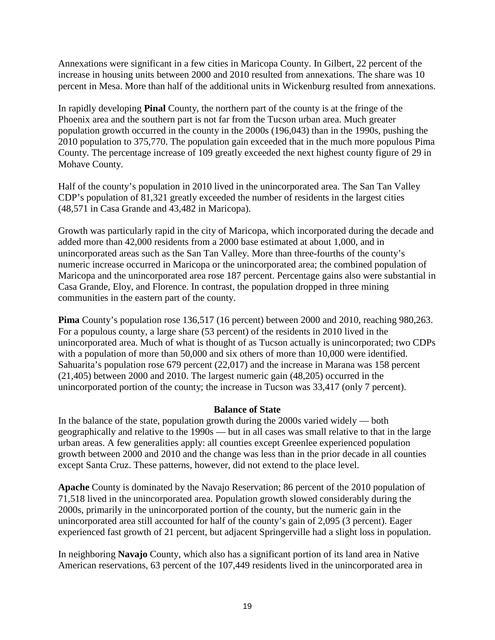Annexations were significant in a few cities in Maricopa County. In Gilbert, 22 percent of the increase in housing units between 2000 and 2010 resulted from annexations. The share was 10 percent in Mesa. More than half of the additional units in Wickenburg resulted from annexations.

In rapidly developing **Pinal** County, the northern part of the county is at the fringe of the Phoenix area and the southern part is not far from the Tucson urban area. Much greater population growth occurred in the county in the 2000s (196,043) than in the 1990s, pushing the 2010 population to 375,770. The population gain exceeded that in the much more populous Pima County. The percentage increase of 109 greatly exceeded the next highest county figure of 29 in Mohave County.

Half of the county's population in 2010 lived in the unincorporated area. The San Tan Valley CDP's population of 81,321 greatly exceeded the number of residents in the largest cities (48,571 in Casa Grande and 43,482 in Maricopa).

Growth was particularly rapid in the city of Maricopa, which incorporated during the decade and added more than 42,000 residents from a 2000 base estimated at about 1,000, and in unincorporated areas such as the San Tan Valley. More than three-fourths of the county's numeric increase occurred in Maricopa or the unincorporated area; the combined population of Maricopa and the unincorporated area rose 187 percent. Percentage gains also were substantial in Casa Grande, Eloy, and Florence. In contrast, the population dropped in three mining communities in the eastern part of the county.

**Pima** County's population rose 136,517 (16 percent) between 2000 and 2010, reaching 980,263. For a populous county, a large share (53 percent) of the residents in 2010 lived in the unincorporated area. Much of what is thought of as Tucson actually is unincorporated; two CDPs with a population of more than 50,000 and six others of more than 10,000 were identified. Sahuarita's population rose 679 percent (22,017) and the increase in Marana was 158 percent (21,405) between 2000 and 2010. The largest numeric gain (48,205) occurred in the unincorporated portion of the county; the increase in Tucson was 33,417 (only 7 percent).

#### **Balance of State**

In the balance of the state, population growth during the 2000s varied widely — both geographically and relative to the 1990s — but in all cases was small relative to that in the large urban areas. A few generalities apply: all counties except Greenlee experienced population growth between 2000 and 2010 and the change was less than in the prior decade in all counties except Santa Cruz. These patterns, however, did not extend to the place level.

**Apache** County is dominated by the Navajo Reservation; 86 percent of the 2010 population of 71,518 lived in the unincorporated area. Population growth slowed considerably during the 2000s, primarily in the unincorporated portion of the county, but the numeric gain in the unincorporated area still accounted for half of the county's gain of 2,095 (3 percent). Eager experienced fast growth of 21 percent, but adjacent Springerville had a slight loss in population.

In neighboring **Navajo** County, which also has a significant portion of its land area in Native American reservations, 63 percent of the 107,449 residents lived in the unincorporated area in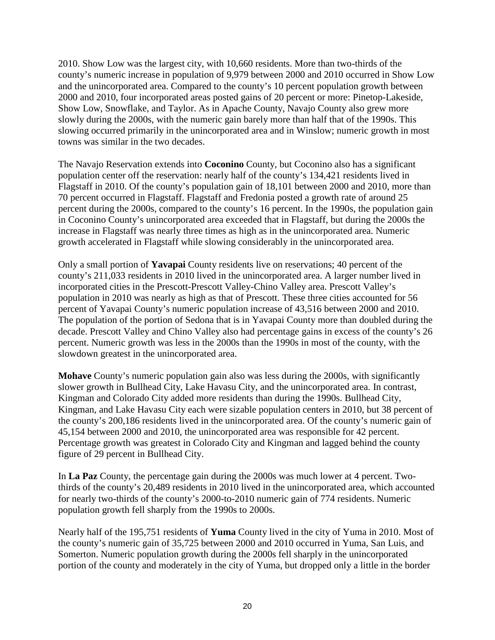2010. Show Low was the largest city, with 10,660 residents. More than two-thirds of the county's numeric increase in population of 9,979 between 2000 and 2010 occurred in Show Low and the unincorporated area. Compared to the county's 10 percent population growth between 2000 and 2010, four incorporated areas posted gains of 20 percent or more: Pinetop-Lakeside, Show Low, Snowflake, and Taylor. As in Apache County, Navajo County also grew more slowly during the 2000s, with the numeric gain barely more than half that of the 1990s. This slowing occurred primarily in the unincorporated area and in Winslow; numeric growth in most towns was similar in the two decades.

The Navajo Reservation extends into **Coconino** County, but Coconino also has a significant population center off the reservation: nearly half of the county's 134,421 residents lived in Flagstaff in 2010. Of the county's population gain of 18,101 between 2000 and 2010, more than 70 percent occurred in Flagstaff. Flagstaff and Fredonia posted a growth rate of around 25 percent during the 2000s, compared to the county's 16 percent. In the 1990s, the population gain in Coconino County's unincorporated area exceeded that in Flagstaff, but during the 2000s the increase in Flagstaff was nearly three times as high as in the unincorporated area. Numeric growth accelerated in Flagstaff while slowing considerably in the unincorporated area.

Only a small portion of **Yavapai** County residents live on reservations; 40 percent of the county's 211,033 residents in 2010 lived in the unincorporated area. A larger number lived in incorporated cities in the Prescott-Prescott Valley-Chino Valley area. Prescott Valley's population in 2010 was nearly as high as that of Prescott. These three cities accounted for 56 percent of Yavapai County's numeric population increase of 43,516 between 2000 and 2010. The population of the portion of Sedona that is in Yavapai County more than doubled during the decade. Prescott Valley and Chino Valley also had percentage gains in excess of the county's 26 percent. Numeric growth was less in the 2000s than the 1990s in most of the county, with the slowdown greatest in the unincorporated area.

**Mohave** County's numeric population gain also was less during the 2000s, with significantly slower growth in Bullhead City, Lake Havasu City, and the unincorporated area. In contrast, Kingman and Colorado City added more residents than during the 1990s. Bullhead City, Kingman, and Lake Havasu City each were sizable population centers in 2010, but 38 percent of the county's 200,186 residents lived in the unincorporated area. Of the county's numeric gain of 45,154 between 2000 and 2010, the unincorporated area was responsible for 42 percent. Percentage growth was greatest in Colorado City and Kingman and lagged behind the county figure of 29 percent in Bullhead City.

In **La Paz** County, the percentage gain during the 2000s was much lower at 4 percent. Twothirds of the county's 20,489 residents in 2010 lived in the unincorporated area, which accounted for nearly two-thirds of the county's 2000-to-2010 numeric gain of 774 residents. Numeric population growth fell sharply from the 1990s to 2000s.

Nearly half of the 195,751 residents of **Yuma** County lived in the city of Yuma in 2010. Most of the county's numeric gain of 35,725 between 2000 and 2010 occurred in Yuma, San Luis, and Somerton. Numeric population growth during the 2000s fell sharply in the unincorporated portion of the county and moderately in the city of Yuma, but dropped only a little in the border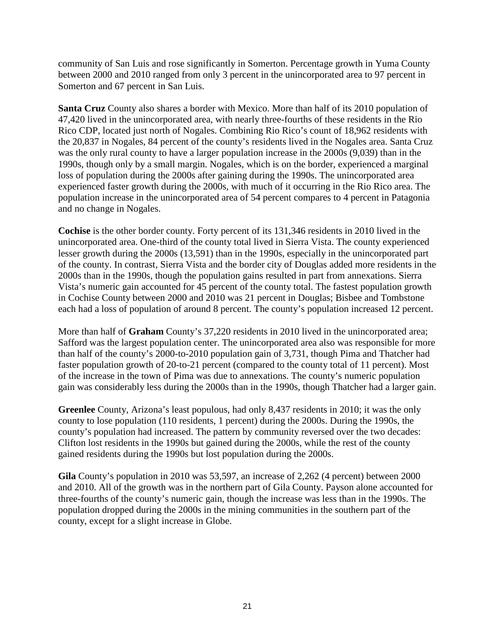community of San Luis and rose significantly in Somerton. Percentage growth in Yuma County between 2000 and 2010 ranged from only 3 percent in the unincorporated area to 97 percent in Somerton and 67 percent in San Luis.

**Santa Cruz** County also shares a border with Mexico. More than half of its 2010 population of 47,420 lived in the unincorporated area, with nearly three-fourths of these residents in the Rio Rico CDP, located just north of Nogales. Combining Rio Rico's count of 18,962 residents with the 20,837 in Nogales, 84 percent of the county's residents lived in the Nogales area. Santa Cruz was the only rural county to have a larger population increase in the 2000s (9,039) than in the 1990s, though only by a small margin. Nogales, which is on the border, experienced a marginal loss of population during the 2000s after gaining during the 1990s. The unincorporated area experienced faster growth during the 2000s, with much of it occurring in the Rio Rico area. The population increase in the unincorporated area of 54 percent compares to 4 percent in Patagonia and no change in Nogales.

**Cochise** is the other border county. Forty percent of its 131,346 residents in 2010 lived in the unincorporated area. One-third of the county total lived in Sierra Vista. The county experienced lesser growth during the 2000s (13,591) than in the 1990s, especially in the unincorporated part of the county. In contrast, Sierra Vista and the border city of Douglas added more residents in the 2000s than in the 1990s, though the population gains resulted in part from annexations. Sierra Vista's numeric gain accounted for 45 percent of the county total. The fastest population growth in Cochise County between 2000 and 2010 was 21 percent in Douglas; Bisbee and Tombstone each had a loss of population of around 8 percent. The county's population increased 12 percent.

More than half of **Graham** County's 37,220 residents in 2010 lived in the unincorporated area; Safford was the largest population center. The unincorporated area also was responsible for more than half of the county's 2000-to-2010 population gain of 3,731, though Pima and Thatcher had faster population growth of 20-to-21 percent (compared to the county total of 11 percent). Most of the increase in the town of Pima was due to annexations. The county's numeric population gain was considerably less during the 2000s than in the 1990s, though Thatcher had a larger gain.

**Greenlee** County, Arizona's least populous, had only 8,437 residents in 2010; it was the only county to lose population (110 residents, 1 percent) during the 2000s. During the 1990s, the county's population had increased. The pattern by community reversed over the two decades: Clifton lost residents in the 1990s but gained during the 2000s, while the rest of the county gained residents during the 1990s but lost population during the 2000s.

**Gila** County's population in 2010 was 53,597, an increase of 2,262 (4 percent) between 2000 and 2010. All of the growth was in the northern part of Gila County. Payson alone accounted for three-fourths of the county's numeric gain, though the increase was less than in the 1990s. The population dropped during the 2000s in the mining communities in the southern part of the county, except for a slight increase in Globe.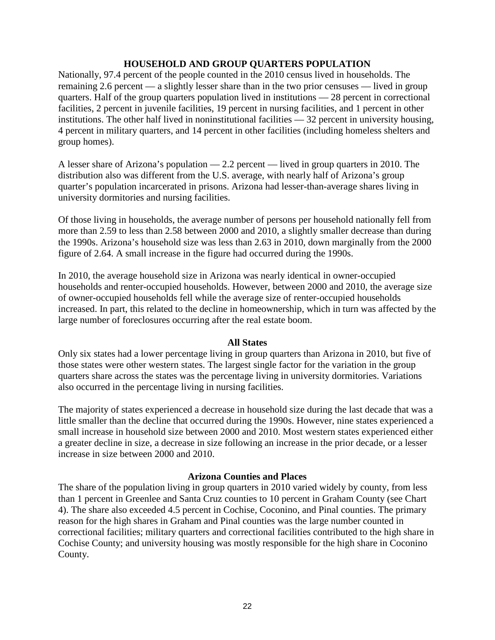#### **HOUSEHOLD AND GROUP QUARTERS POPULATION**

Nationally, 97.4 percent of the people counted in the 2010 census lived in households. The remaining 2.6 percent — a slightly lesser share than in the two prior censuses — lived in group quarters. Half of the group quarters population lived in institutions — 28 percent in correctional facilities, 2 percent in juvenile facilities, 19 percent in nursing facilities, and 1 percent in other institutions. The other half lived in noninstitutional facilities — 32 percent in university housing, 4 percent in military quarters, and 14 percent in other facilities (including homeless shelters and group homes).

A lesser share of Arizona's population — 2.2 percent — lived in group quarters in 2010. The distribution also was different from the U.S. average, with nearly half of Arizona's group quarter's population incarcerated in prisons. Arizona had lesser-than-average shares living in university dormitories and nursing facilities.

Of those living in households, the average number of persons per household nationally fell from more than 2.59 to less than 2.58 between 2000 and 2010, a slightly smaller decrease than during the 1990s. Arizona's household size was less than 2.63 in 2010, down marginally from the 2000 figure of 2.64. A small increase in the figure had occurred during the 1990s.

In 2010, the average household size in Arizona was nearly identical in owner-occupied households and renter-occupied households. However, between 2000 and 2010, the average size of owner-occupied households fell while the average size of renter-occupied households increased. In part, this related to the decline in homeownership, which in turn was affected by the large number of foreclosures occurring after the real estate boom.

#### **All States**

Only six states had a lower percentage living in group quarters than Arizona in 2010, but five of those states were other western states. The largest single factor for the variation in the group quarters share across the states was the percentage living in university dormitories. Variations also occurred in the percentage living in nursing facilities.

The majority of states experienced a decrease in household size during the last decade that was a little smaller than the decline that occurred during the 1990s. However, nine states experienced a small increase in household size between 2000 and 2010. Most western states experienced either a greater decline in size, a decrease in size following an increase in the prior decade, or a lesser increase in size between 2000 and 2010.

#### **Arizona Counties and Places**

The share of the population living in group quarters in 2010 varied widely by county, from less than 1 percent in Greenlee and Santa Cruz counties to 10 percent in Graham County (see Chart 4). The share also exceeded 4.5 percent in Cochise, Coconino, and Pinal counties. The primary reason for the high shares in Graham and Pinal counties was the large number counted in correctional facilities; military quarters and correctional facilities contributed to the high share in Cochise County; and university housing was mostly responsible for the high share in Coconino County.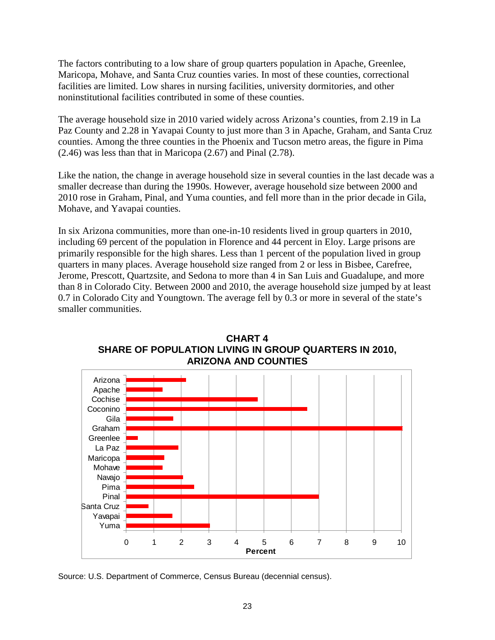The factors contributing to a low share of group quarters population in Apache, Greenlee, Maricopa, Mohave, and Santa Cruz counties varies. In most of these counties, correctional facilities are limited. Low shares in nursing facilities, university dormitories, and other noninstitutional facilities contributed in some of these counties.

The average household size in 2010 varied widely across Arizona's counties, from 2.19 in La Paz County and 2.28 in Yavapai County to just more than 3 in Apache, Graham, and Santa Cruz counties. Among the three counties in the Phoenix and Tucson metro areas, the figure in Pima (2.46) was less than that in Maricopa (2.67) and Pinal (2.78).

Like the nation, the change in average household size in several counties in the last decade was a smaller decrease than during the 1990s. However, average household size between 2000 and 2010 rose in Graham, Pinal, and Yuma counties, and fell more than in the prior decade in Gila, Mohave, and Yavapai counties.

In six Arizona communities, more than one-in-10 residents lived in group quarters in 2010, including 69 percent of the population in Florence and 44 percent in Eloy. Large prisons are primarily responsible for the high shares. Less than 1 percent of the population lived in group quarters in many places. Average household size ranged from 2 or less in Bisbee, Carefree, Jerome, Prescott, Quartzsite, and Sedona to more than 4 in San Luis and Guadalupe, and more than 8 in Colorado City. Between 2000 and 2010, the average household size jumped by at least 0.7 in Colorado City and Youngtown. The average fell by 0.3 or more in several of the state's smaller communities.



**CHART 4 SHARE OF POPULATION LIVING IN GROUP QUARTERS IN 2010, ARIZONA AND COUNTIES**

Source: U.S. Department of Commerce, Census Bureau (decennial census).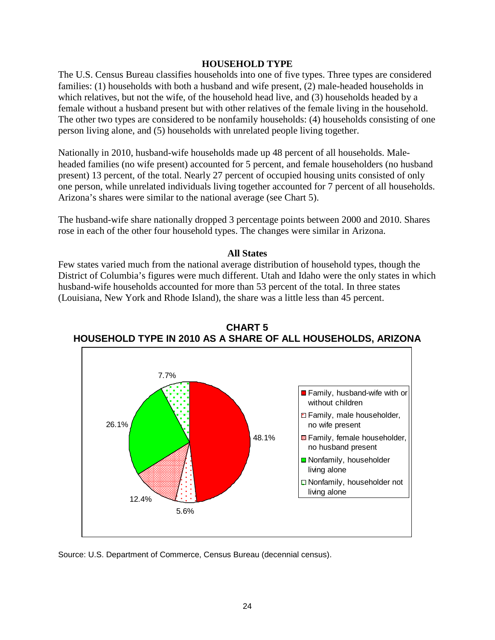#### **HOUSEHOLD TYPE**

The U.S. Census Bureau classifies households into one of five types. Three types are considered families: (1) households with both a husband and wife present, (2) male-headed households in which relatives, but not the wife, of the household head live, and (3) households headed by a female without a husband present but with other relatives of the female living in the household. The other two types are considered to be nonfamily households: (4) households consisting of one person living alone, and (5) households with unrelated people living together.

Nationally in 2010, husband-wife households made up 48 percent of all households. Maleheaded families (no wife present) accounted for 5 percent, and female householders (no husband present) 13 percent, of the total. Nearly 27 percent of occupied housing units consisted of only one person, while unrelated individuals living together accounted for 7 percent of all households. Arizona's shares were similar to the national average (see Chart 5).

The husband-wife share nationally dropped 3 percentage points between 2000 and 2010. Shares rose in each of the other four household types. The changes were similar in Arizona.

#### **All States**

Few states varied much from the national average distribution of household types, though the District of Columbia's figures were much different. Utah and Idaho were the only states in which husband-wife households accounted for more than 53 percent of the total. In three states (Louisiana, New York and Rhode Island), the share was a little less than 45 percent.



**CHART 5 HOUSEHOLD TYPE IN 2010 AS A SHARE OF ALL HOUSEHOLDS, ARIZONA**

Source: U.S. Department of Commerce, Census Bureau (decennial census).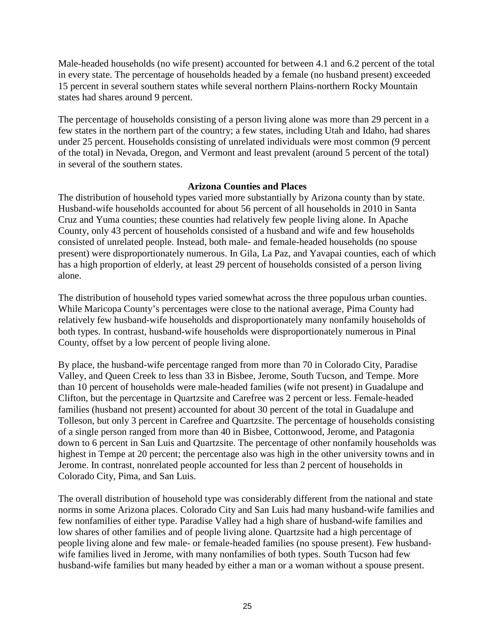Male-headed households (no wife present) accounted for between 4.1 and 6.2 percent of the total in every state. The percentage of households headed by a female (no husband present) exceeded 15 percent in several southern states while several northern Plains-northern Rocky Mountain states had shares around 9 percent.

The percentage of households consisting of a person living alone was more than 29 percent in a few states in the northern part of the country; a few states, including Utah and Idaho, had shares under 25 percent. Households consisting of unrelated individuals were most common (9 percent of the total) in Nevada, Oregon, and Vermont and least prevalent (around 5 percent of the total) in several of the southern states.

#### **Arizona Counties and Places**

The distribution of household types varied more substantially by Arizona county than by state. Husband-wife households accounted for about 56 percent of all households in 2010 in Santa Cruz and Yuma counties; these counties had relatively few people living alone. In Apache County, only 43 percent of households consisted of a husband and wife and few households consisted of unrelated people. Instead, both male- and female-headed households (no spouse present) were disproportionately numerous. In Gila, La Paz, and Yavapai counties, each of which has a high proportion of elderly, at least 29 percent of households consisted of a person living alone.

The distribution of household types varied somewhat across the three populous urban counties. While Maricopa County's percentages were close to the national average, Pima County had relatively few husband-wife households and disproportionately many nonfamily households of both types. In contrast, husband-wife households were disproportionately numerous in Pinal County, offset by a low percent of people living alone.

By place, the husband-wife percentage ranged from more than 70 in Colorado City, Paradise Valley, and Queen Creek to less than 33 in Bisbee, Jerome, South Tucson, and Tempe. More than 10 percent of households were male-headed families (wife not present) in Guadalupe and Clifton, but the percentage in Quartzsite and Carefree was 2 percent or less. Female-headed families (husband not present) accounted for about 30 percent of the total in Guadalupe and Tolleson, but only 3 percent in Carefree and Quartzsite. The percentage of households consisting of a single person ranged from more than 40 in Bisbee, Cottonwood, Jerome, and Patagonia down to 6 percent in San Luis and Quartzsite. The percentage of other nonfamily households was highest in Tempe at 20 percent; the percentage also was high in the other university towns and in Jerome. In contrast, nonrelated people accounted for less than 2 percent of households in Colorado City, Pima, and San Luis.

The overall distribution of household type was considerably different from the national and state norms in some Arizona places. Colorado City and San Luis had many husband-wife families and few nonfamilies of either type. Paradise Valley had a high share of husband-wife families and low shares of other families and of people living alone. Quartzsite had a high percentage of people living alone and few male- or female-headed families (no spouse present). Few husbandwife families lived in Jerome, with many nonfamilies of both types. South Tucson had few husband-wife families but many headed by either a man or a woman without a spouse present.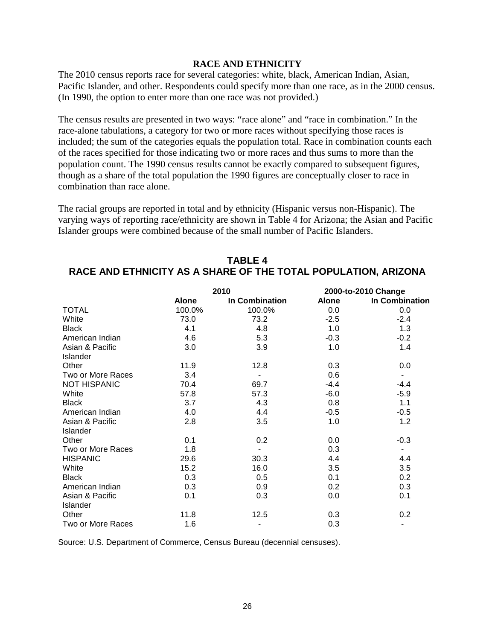#### **RACE AND ETHNICITY**

The 2010 census reports race for several categories: white, black, American Indian, Asian, Pacific Islander, and other. Respondents could specify more than one race, as in the 2000 census. (In 1990, the option to enter more than one race was not provided.)

The census results are presented in two ways: "race alone" and "race in combination." In the race-alone tabulations, a category for two or more races without specifying those races is included; the sum of the categories equals the population total. Race in combination counts each of the races specified for those indicating two or more races and thus sums to more than the population count. The 1990 census results cannot be exactly compared to subsequent figures, though as a share of the total population the 1990 figures are conceptually closer to race in combination than race alone.

The racial groups are reported in total and by ethnicity (Hispanic versus non-Hispanic). The varying ways of reporting race/ethnicity are shown in Table 4 for Arizona; the Asian and Pacific Islander groups were combined because of the small number of Pacific Islanders.

|                     | 2010         |                          | 2000-to-2010 Change |                |  |
|---------------------|--------------|--------------------------|---------------------|----------------|--|
|                     | <b>Alone</b> | In Combination           | <b>Alone</b>        | In Combination |  |
| <b>TOTAL</b>        | 100.0%       | 100.0%                   | 0.0                 | 0.0            |  |
| White               | 73.0         | 73.2                     | $-2.5$              | $-2.4$         |  |
| <b>Black</b>        | 4.1          | 4.8                      | 1.0                 | 1.3            |  |
| American Indian     | 4.6          | 5.3                      | $-0.3$              | $-0.2$         |  |
| Asian & Pacific     | 3.0          | 3.9                      | 1.0                 | 1.4            |  |
| Islander            |              |                          |                     |                |  |
| Other               | 11.9         | 12.8                     | 0.3                 | 0.0            |  |
| Two or More Races   | 3.4          |                          | 0.6                 |                |  |
| <b>NOT HISPANIC</b> | 70.4         | 69.7                     | $-4.4$              | $-4.4$         |  |
| White               | 57.8         | 57.3                     | $-6.0$              | $-5.9$         |  |
| <b>Black</b>        | 3.7          | 4.3                      | 0.8                 | 1.1            |  |
| American Indian     | 4.0          | 4.4                      | $-0.5$              | $-0.5$         |  |
| Asian & Pacific     | 2.8          | 3.5                      | 1.0                 | 1.2            |  |
| Islander            |              |                          |                     |                |  |
| Other               | 0.1          | 0.2                      | 0.0                 | $-0.3$         |  |
| Two or More Races   | 1.8          | $\overline{\phantom{a}}$ | 0.3                 |                |  |
| <b>HISPANIC</b>     | 29.6         | 30.3                     | 4.4                 | 4.4            |  |
| White               | 15.2         | 16.0                     | 3.5                 | 3.5            |  |
| <b>Black</b>        | 0.3          | 0.5                      | 0.1                 | 0.2            |  |
| American Indian     | 0.3          | 0.9                      | 0.2                 | 0.3            |  |
| Asian & Pacific     | 0.1          | 0.3                      | 0.0                 | 0.1            |  |
| Islander            |              |                          |                     |                |  |
| Other               | 11.8         | 12.5                     | 0.3                 | 0.2            |  |
| Two or More Races   | 1.6          |                          | 0.3                 |                |  |

### **TABLE 4 RACE AND ETHNICITY AS A SHARE OF THE TOTAL POPULATION, ARIZONA**

Source: U.S. Department of Commerce, Census Bureau (decennial censuses).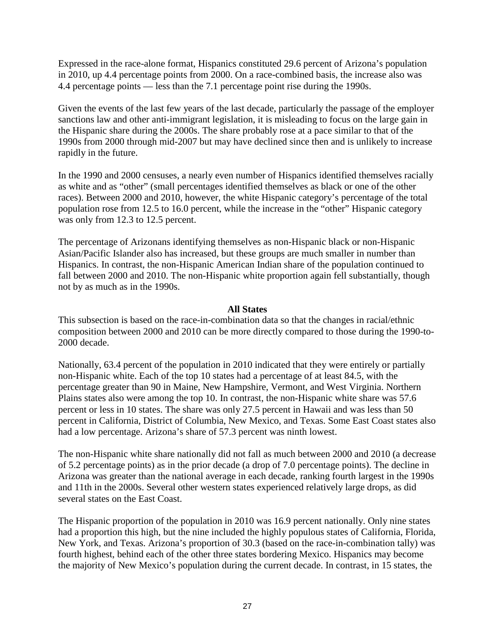Expressed in the race-alone format, Hispanics constituted 29.6 percent of Arizona's population in 2010, up 4.4 percentage points from 2000. On a race-combined basis, the increase also was 4.4 percentage points — less than the 7.1 percentage point rise during the 1990s.

Given the events of the last few years of the last decade, particularly the passage of the employer sanctions law and other anti-immigrant legislation, it is misleading to focus on the large gain in the Hispanic share during the 2000s. The share probably rose at a pace similar to that of the 1990s from 2000 through mid-2007 but may have declined since then and is unlikely to increase rapidly in the future.

In the 1990 and 2000 censuses, a nearly even number of Hispanics identified themselves racially as white and as "other" (small percentages identified themselves as black or one of the other races). Between 2000 and 2010, however, the white Hispanic category's percentage of the total population rose from 12.5 to 16.0 percent, while the increase in the "other" Hispanic category was only from 12.3 to 12.5 percent.

The percentage of Arizonans identifying themselves as non-Hispanic black or non-Hispanic Asian/Pacific Islander also has increased, but these groups are much smaller in number than Hispanics. In contrast, the non-Hispanic American Indian share of the population continued to fall between 2000 and 2010. The non-Hispanic white proportion again fell substantially, though not by as much as in the 1990s.

#### **All States**

This subsection is based on the race-in-combination data so that the changes in racial/ethnic composition between 2000 and 2010 can be more directly compared to those during the 1990-to-2000 decade.

Nationally, 63.4 percent of the population in 2010 indicated that they were entirely or partially non-Hispanic white. Each of the top 10 states had a percentage of at least 84.5, with the percentage greater than 90 in Maine, New Hampshire, Vermont, and West Virginia. Northern Plains states also were among the top 10. In contrast, the non-Hispanic white share was 57.6 percent or less in 10 states. The share was only 27.5 percent in Hawaii and was less than 50 percent in California, District of Columbia, New Mexico, and Texas. Some East Coast states also had a low percentage. Arizona's share of 57.3 percent was ninth lowest.

The non-Hispanic white share nationally did not fall as much between 2000 and 2010 (a decrease of 5.2 percentage points) as in the prior decade (a drop of 7.0 percentage points). The decline in Arizona was greater than the national average in each decade, ranking fourth largest in the 1990s and 11th in the 2000s. Several other western states experienced relatively large drops, as did several states on the East Coast.

The Hispanic proportion of the population in 2010 was 16.9 percent nationally. Only nine states had a proportion this high, but the nine included the highly populous states of California, Florida, New York, and Texas. Arizona's proportion of 30.3 (based on the race-in-combination tally) was fourth highest, behind each of the other three states bordering Mexico. Hispanics may become the majority of New Mexico's population during the current decade. In contrast, in 15 states, the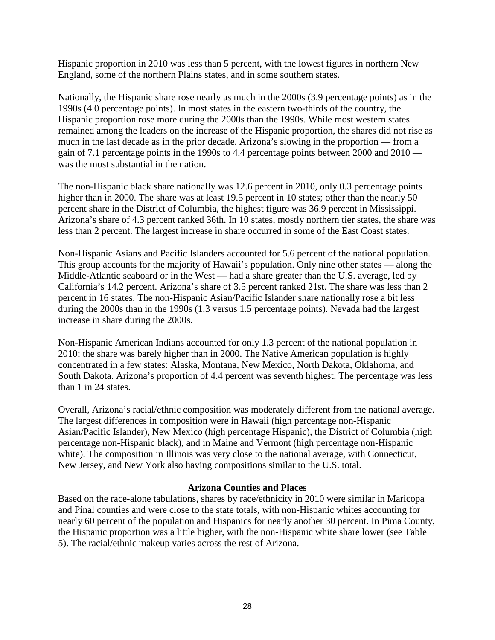Hispanic proportion in 2010 was less than 5 percent, with the lowest figures in northern New England, some of the northern Plains states, and in some southern states.

Nationally, the Hispanic share rose nearly as much in the 2000s (3.9 percentage points) as in the 1990s (4.0 percentage points). In most states in the eastern two-thirds of the country, the Hispanic proportion rose more during the 2000s than the 1990s. While most western states remained among the leaders on the increase of the Hispanic proportion, the shares did not rise as much in the last decade as in the prior decade. Arizona's slowing in the proportion — from a gain of 7.1 percentage points in the 1990s to 4.4 percentage points between 2000 and 2010 was the most substantial in the nation.

The non-Hispanic black share nationally was 12.6 percent in 2010, only 0.3 percentage points higher than in 2000. The share was at least 19.5 percent in 10 states; other than the nearly 50 percent share in the District of Columbia, the highest figure was 36.9 percent in Mississippi. Arizona's share of 4.3 percent ranked 36th. In 10 states, mostly northern tier states, the share was less than 2 percent. The largest increase in share occurred in some of the East Coast states.

Non-Hispanic Asians and Pacific Islanders accounted for 5.6 percent of the national population. This group accounts for the majority of Hawaii's population. Only nine other states — along the Middle-Atlantic seaboard or in the West — had a share greater than the U.S. average, led by California's 14.2 percent. Arizona's share of 3.5 percent ranked 21st. The share was less than 2 percent in 16 states. The non-Hispanic Asian/Pacific Islander share nationally rose a bit less during the 2000s than in the 1990s (1.3 versus 1.5 percentage points). Nevada had the largest increase in share during the 2000s.

Non-Hispanic American Indians accounted for only 1.3 percent of the national population in 2010; the share was barely higher than in 2000. The Native American population is highly concentrated in a few states: Alaska, Montana, New Mexico, North Dakota, Oklahoma, and South Dakota. Arizona's proportion of 4.4 percent was seventh highest. The percentage was less than 1 in 24 states.

Overall, Arizona's racial/ethnic composition was moderately different from the national average. The largest differences in composition were in Hawaii (high percentage non-Hispanic Asian/Pacific Islander), New Mexico (high percentage Hispanic), the District of Columbia (high percentage non-Hispanic black), and in Maine and Vermont (high percentage non-Hispanic white). The composition in Illinois was very close to the national average, with Connecticut, New Jersey, and New York also having compositions similar to the U.S. total.

#### **Arizona Counties and Places**

Based on the race-alone tabulations, shares by race/ethnicity in 2010 were similar in Maricopa and Pinal counties and were close to the state totals, with non-Hispanic whites accounting for nearly 60 percent of the population and Hispanics for nearly another 30 percent. In Pima County, the Hispanic proportion was a little higher, with the non-Hispanic white share lower (see Table 5). The racial/ethnic makeup varies across the rest of Arizona.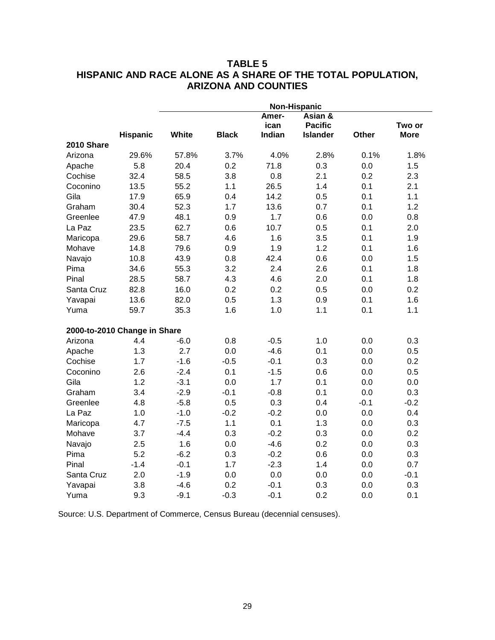### **TABLE 5 HISPANIC AND RACE ALONE AS A SHARE OF THE TOTAL POPULATION, ARIZONA AND COUNTIES**

|            | <b>Non-Hispanic</b>          |        |              |                         |                                              |        |                       |
|------------|------------------------------|--------|--------------|-------------------------|----------------------------------------------|--------|-----------------------|
|            | <b>Hispanic</b>              | White  | <b>Black</b> | Amer-<br>ican<br>Indian | Asian &<br><b>Pacific</b><br><b>Islander</b> | Other  | Two or<br><b>More</b> |
| 2010 Share |                              |        |              |                         |                                              |        |                       |
| Arizona    | 29.6%                        | 57.8%  | 3.7%         | 4.0%                    | 2.8%                                         | 0.1%   | 1.8%                  |
| Apache     | 5.8                          | 20.4   | 0.2          | 71.8                    | 0.3                                          | 0.0    | 1.5                   |
| Cochise    | 32.4                         | 58.5   | 3.8          | 0.8                     | 2.1                                          | 0.2    | 2.3                   |
| Coconino   | 13.5                         | 55.2   | 1.1          | 26.5                    | 1.4                                          | 0.1    | 2.1                   |
| Gila       | 17.9                         | 65.9   | 0.4          | 14.2                    | 0.5                                          | 0.1    | 1.1                   |
| Graham     | 30.4                         | 52.3   | 1.7          | 13.6                    | 0.7                                          | 0.1    | 1.2                   |
| Greenlee   | 47.9                         | 48.1   | 0.9          | 1.7                     | 0.6                                          | 0.0    | 0.8                   |
| La Paz     | 23.5                         | 62.7   | 0.6          | 10.7                    | 0.5                                          | 0.1    | 2.0                   |
| Maricopa   | 29.6                         | 58.7   | 4.6          | 1.6                     | 3.5                                          | 0.1    | 1.9                   |
| Mohave     | 14.8                         | 79.6   | 0.9          | 1.9                     | 1.2                                          | 0.1    | 1.6                   |
| Navajo     | 10.8                         | 43.9   | 0.8          | 42.4                    | 0.6                                          | 0.0    | 1.5                   |
| Pima       | 34.6                         | 55.3   | 3.2          | 2.4                     | 2.6                                          | 0.1    | 1.8                   |
| Pinal      | 28.5                         | 58.7   | 4.3          | 4.6                     | 2.0                                          | 0.1    | 1.8                   |
| Santa Cruz | 82.8                         | 16.0   | 0.2          | 0.2                     | 0.5                                          | 0.0    | 0.2                   |
| Yavapai    | 13.6                         | 82.0   | 0.5          | 1.3                     | 0.9                                          | 0.1    | 1.6                   |
| Yuma       | 59.7                         | 35.3   | 1.6          | 1.0                     | 1.1                                          | 0.1    | 1.1                   |
|            | 2000-to-2010 Change in Share |        |              |                         |                                              |        |                       |
| Arizona    | 4.4                          | $-6.0$ | 0.8          | $-0.5$                  | 1.0                                          | 0.0    | 0.3                   |
| Apache     | 1.3                          | 2.7    | 0.0          | $-4.6$                  | 0.1                                          | 0.0    | 0.5                   |
| Cochise    | 1.7                          | $-1.6$ | $-0.5$       | $-0.1$                  | 0.3                                          | 0.0    | 0.2                   |
| Coconino   | 2.6                          | $-2.4$ | 0.1          | $-1.5$                  | 0.6                                          | 0.0    | 0.5                   |
| Gila       | 1.2                          | $-3.1$ | 0.0          | 1.7                     | 0.1                                          | 0.0    | 0.0                   |
| Graham     | 3.4                          | $-2.9$ | $-0.1$       | $-0.8$                  | 0.1                                          | 0.0    | 0.3                   |
| Greenlee   | 4.8                          | $-5.8$ | 0.5          | 0.3                     | 0.4                                          | $-0.1$ | $-0.2$                |
| La Paz     | 1.0                          | $-1.0$ | $-0.2$       | $-0.2$                  | 0.0                                          | 0.0    | 0.4                   |
| Maricopa   | 4.7                          | $-7.5$ | 1.1          | 0.1                     | 1.3                                          | 0.0    | 0.3                   |
| Mohave     | 3.7                          | $-4.4$ | 0.3          | $-0.2$                  | 0.3                                          | 0.0    | 0.2                   |
| Navajo     | 2.5                          | 1.6    | 0.0          | $-4.6$                  | 0.2                                          | 0.0    | 0.3                   |
| Pima       | 5.2                          | $-6.2$ | 0.3          | $-0.2$                  | 0.6                                          | 0.0    | 0.3                   |
| Pinal      | $-1.4$                       | $-0.1$ | 1.7          | $-2.3$                  | 1.4                                          | 0.0    | 0.7                   |
| Santa Cruz | 2.0                          | $-1.9$ | 0.0          | 0.0                     | 0.0                                          | 0.0    | $-0.1$                |
| Yavapai    | 3.8                          | $-4.6$ | 0.2          | $-0.1$                  | 0.3                                          | 0.0    | 0.3                   |
| Yuma       | 9.3                          | $-9.1$ | $-0.3$       | $-0.1$                  | 0.2                                          | 0.0    | 0.1                   |

Source: U.S. Department of Commerce, Census Bureau (decennial censuses).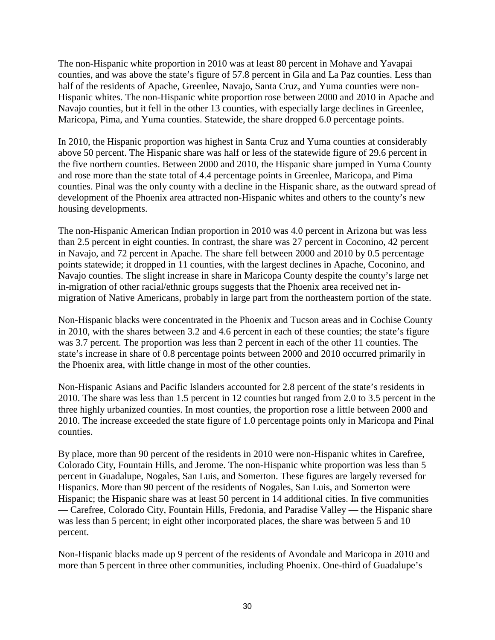The non-Hispanic white proportion in 2010 was at least 80 percent in Mohave and Yavapai counties, and was above the state's figure of 57.8 percent in Gila and La Paz counties. Less than half of the residents of Apache, Greenlee, Navajo, Santa Cruz, and Yuma counties were non-Hispanic whites. The non-Hispanic white proportion rose between 2000 and 2010 in Apache and Navajo counties, but it fell in the other 13 counties, with especially large declines in Greenlee, Maricopa, Pima, and Yuma counties. Statewide, the share dropped 6.0 percentage points.

In 2010, the Hispanic proportion was highest in Santa Cruz and Yuma counties at considerably above 50 percent. The Hispanic share was half or less of the statewide figure of 29.6 percent in the five northern counties. Between 2000 and 2010, the Hispanic share jumped in Yuma County and rose more than the state total of 4.4 percentage points in Greenlee, Maricopa, and Pima counties. Pinal was the only county with a decline in the Hispanic share, as the outward spread of development of the Phoenix area attracted non-Hispanic whites and others to the county's new housing developments.

The non-Hispanic American Indian proportion in 2010 was 4.0 percent in Arizona but was less than 2.5 percent in eight counties. In contrast, the share was 27 percent in Coconino, 42 percent in Navajo, and 72 percent in Apache. The share fell between 2000 and 2010 by 0.5 percentage points statewide; it dropped in 11 counties, with the largest declines in Apache, Coconino, and Navajo counties. The slight increase in share in Maricopa County despite the county's large net in-migration of other racial/ethnic groups suggests that the Phoenix area received net inmigration of Native Americans, probably in large part from the northeastern portion of the state.

Non-Hispanic blacks were concentrated in the Phoenix and Tucson areas and in Cochise County in 2010, with the shares between 3.2 and 4.6 percent in each of these counties; the state's figure was 3.7 percent. The proportion was less than 2 percent in each of the other 11 counties. The state's increase in share of 0.8 percentage points between 2000 and 2010 occurred primarily in the Phoenix area, with little change in most of the other counties.

Non-Hispanic Asians and Pacific Islanders accounted for 2.8 percent of the state's residents in 2010. The share was less than 1.5 percent in 12 counties but ranged from 2.0 to 3.5 percent in the three highly urbanized counties. In most counties, the proportion rose a little between 2000 and 2010. The increase exceeded the state figure of 1.0 percentage points only in Maricopa and Pinal counties.

By place, more than 90 percent of the residents in 2010 were non-Hispanic whites in Carefree, Colorado City, Fountain Hills, and Jerome. The non-Hispanic white proportion was less than 5 percent in Guadalupe, Nogales, San Luis, and Somerton. These figures are largely reversed for Hispanics. More than 90 percent of the residents of Nogales, San Luis, and Somerton were Hispanic; the Hispanic share was at least 50 percent in 14 additional cities. In five communities — Carefree, Colorado City, Fountain Hills, Fredonia, and Paradise Valley — the Hispanic share was less than 5 percent; in eight other incorporated places, the share was between 5 and 10 percent.

Non-Hispanic blacks made up 9 percent of the residents of Avondale and Maricopa in 2010 and more than 5 percent in three other communities, including Phoenix. One-third of Guadalupe's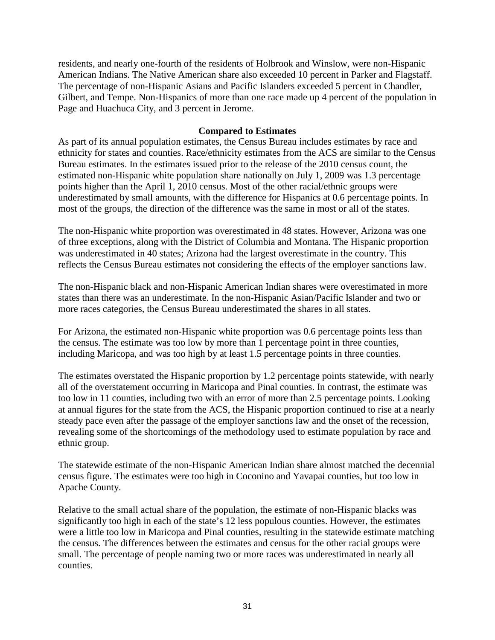residents, and nearly one-fourth of the residents of Holbrook and Winslow, were non-Hispanic American Indians. The Native American share also exceeded 10 percent in Parker and Flagstaff. The percentage of non-Hispanic Asians and Pacific Islanders exceeded 5 percent in Chandler, Gilbert, and Tempe. Non-Hispanics of more than one race made up 4 percent of the population in Page and Huachuca City, and 3 percent in Jerome.

#### **Compared to Estimates**

As part of its annual population estimates, the Census Bureau includes estimates by race and ethnicity for states and counties. Race/ethnicity estimates from the ACS are similar to the Census Bureau estimates. In the estimates issued prior to the release of the 2010 census count, the estimated non-Hispanic white population share nationally on July 1, 2009 was 1.3 percentage points higher than the April 1, 2010 census. Most of the other racial/ethnic groups were underestimated by small amounts, with the difference for Hispanics at 0.6 percentage points. In most of the groups, the direction of the difference was the same in most or all of the states.

The non-Hispanic white proportion was overestimated in 48 states. However, Arizona was one of three exceptions, along with the District of Columbia and Montana. The Hispanic proportion was underestimated in 40 states; Arizona had the largest overestimate in the country. This reflects the Census Bureau estimates not considering the effects of the employer sanctions law.

The non-Hispanic black and non-Hispanic American Indian shares were overestimated in more states than there was an underestimate. In the non-Hispanic Asian/Pacific Islander and two or more races categories, the Census Bureau underestimated the shares in all states.

For Arizona, the estimated non-Hispanic white proportion was 0.6 percentage points less than the census. The estimate was too low by more than 1 percentage point in three counties, including Maricopa, and was too high by at least 1.5 percentage points in three counties.

The estimates overstated the Hispanic proportion by 1.2 percentage points statewide, with nearly all of the overstatement occurring in Maricopa and Pinal counties. In contrast, the estimate was too low in 11 counties, including two with an error of more than 2.5 percentage points. Looking at annual figures for the state from the ACS, the Hispanic proportion continued to rise at a nearly steady pace even after the passage of the employer sanctions law and the onset of the recession, revealing some of the shortcomings of the methodology used to estimate population by race and ethnic group.

The statewide estimate of the non-Hispanic American Indian share almost matched the decennial census figure. The estimates were too high in Coconino and Yavapai counties, but too low in Apache County.

Relative to the small actual share of the population, the estimate of non-Hispanic blacks was significantly too high in each of the state's 12 less populous counties. However, the estimates were a little too low in Maricopa and Pinal counties, resulting in the statewide estimate matching the census. The differences between the estimates and census for the other racial groups were small. The percentage of people naming two or more races was underestimated in nearly all counties.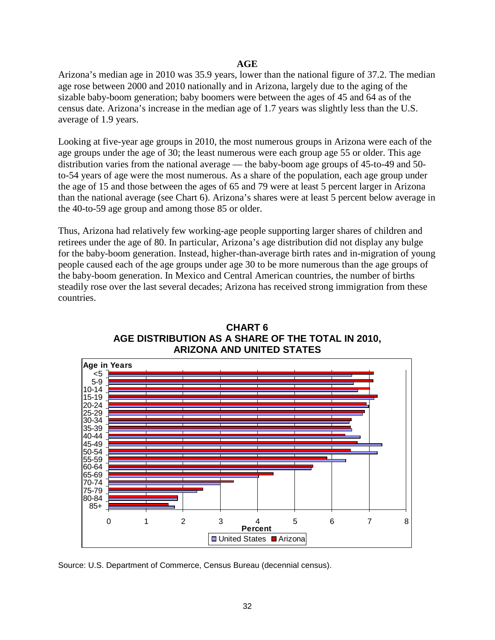#### **AGE**

Arizona's median age in 2010 was 35.9 years, lower than the national figure of 37.2. The median age rose between 2000 and 2010 nationally and in Arizona, largely due to the aging of the sizable baby-boom generation; baby boomers were between the ages of 45 and 64 as of the census date. Arizona's increase in the median age of 1.7 years was slightly less than the U.S. average of 1.9 years.

Looking at five-year age groups in 2010, the most numerous groups in Arizona were each of the age groups under the age of 30; the least numerous were each group age 55 or older. This age distribution varies from the national average — the baby-boom age groups of 45-to-49 and 50 to-54 years of age were the most numerous. As a share of the population, each age group under the age of 15 and those between the ages of 65 and 79 were at least 5 percent larger in Arizona than the national average (see Chart 6). Arizona's shares were at least 5 percent below average in the 40-to-59 age group and among those 85 or older.

Thus, Arizona had relatively few working-age people supporting larger shares of children and retirees under the age of 80. In particular, Arizona's age distribution did not display any bulge for the baby-boom generation. Instead, higher-than-average birth rates and in-migration of young people caused each of the age groups under age 30 to be more numerous than the age groups of the baby-boom generation. In Mexico and Central American countries, the number of births steadily rose over the last several decades; Arizona has received strong immigration from these countries.



### **CHART 6 AGE DISTRIBUTION AS A SHARE OF THE TOTAL IN 2010, ARIZONA AND UNITED STATES**

Source: U.S. Department of Commerce, Census Bureau (decennial census).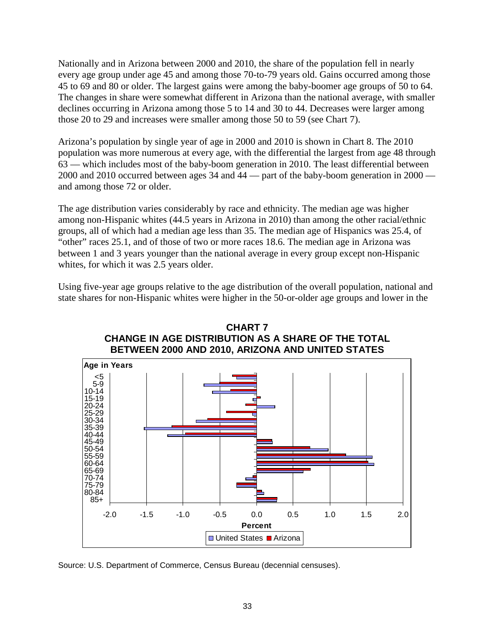Nationally and in Arizona between 2000 and 2010, the share of the population fell in nearly every age group under age 45 and among those 70-to-79 years old. Gains occurred among those 45 to 69 and 80 or older. The largest gains were among the baby-boomer age groups of 50 to 64. The changes in share were somewhat different in Arizona than the national average, with smaller declines occurring in Arizona among those 5 to 14 and 30 to 44. Decreases were larger among those 20 to 29 and increases were smaller among those 50 to 59 (see Chart 7).

Arizona's population by single year of age in 2000 and 2010 is shown in Chart 8. The 2010 population was more numerous at every age, with the differential the largest from age 48 through  $63$  — which includes most of the baby-boom generation in 2010. The least differential between 2000 and 2010 occurred between ages 34 and 44 — part of the baby-boom generation in 2000 and among those 72 or older.

The age distribution varies considerably by race and ethnicity. The median age was higher among non-Hispanic whites (44.5 years in Arizona in 2010) than among the other racial/ethnic groups, all of which had a median age less than 35. The median age of Hispanics was 25.4, of "other" races 25.1, and of those of two or more races 18.6. The median age in Arizona was between 1 and 3 years younger than the national average in every group except non-Hispanic whites, for which it was 2.5 years older.

Using five-year age groups relative to the age distribution of the overall population, national and state shares for non-Hispanic whites were higher in the 50-or-older age groups and lower in the





Source: U.S. Department of Commerce, Census Bureau (decennial censuses).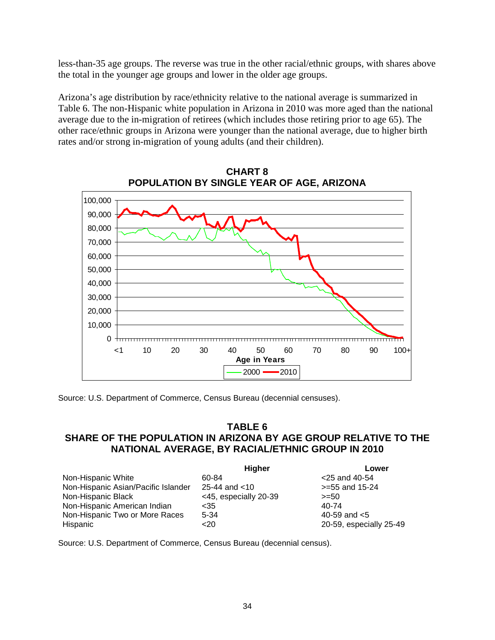less-than-35 age groups. The reverse was true in the other racial/ethnic groups, with shares above the total in the younger age groups and lower in the older age groups.

Arizona's age distribution by race/ethnicity relative to the national average is summarized in Table 6. The non-Hispanic white population in Arizona in 2010 was more aged than the national average due to the in-migration of retirees (which includes those retiring prior to age 65). The other race/ethnic groups in Arizona were younger than the national average, due to higher birth rates and/or strong in-migration of young adults (and their children).



**CHART 8 POPULATION BY SINGLE YEAR OF AGE, ARIZONA**

Source: U.S. Department of Commerce, Census Bureau (decennial censuses).

#### **TABLE 6 SHARE OF THE POPULATION IN ARIZONA BY AGE GROUP RELATIVE TO THE NATIONAL AVERAGE, BY RACIAL/ETHNIC GROUP IN 2010**

|                                     | <b>Higher</b>         | Lower                   |
|-------------------------------------|-----------------------|-------------------------|
| Non-Hispanic White                  | 60-84                 | $<$ 25 and 40-54        |
| Non-Hispanic Asian/Pacific Islander | 25-44 and $<$ 10      | $>= 55$ and 15-24       |
| Non-Hispanic Black                  | <45, especially 20-39 | $>= 50$                 |
| Non-Hispanic American Indian        | $<$ 35                | 40-74                   |
| Non-Hispanic Two or More Races      | 5-34                  | 40-59 and $< 5$         |
| Hispanic                            | <20                   | 20-59, especially 25-49 |

Source: U.S. Department of Commerce, Census Bureau (decennial census).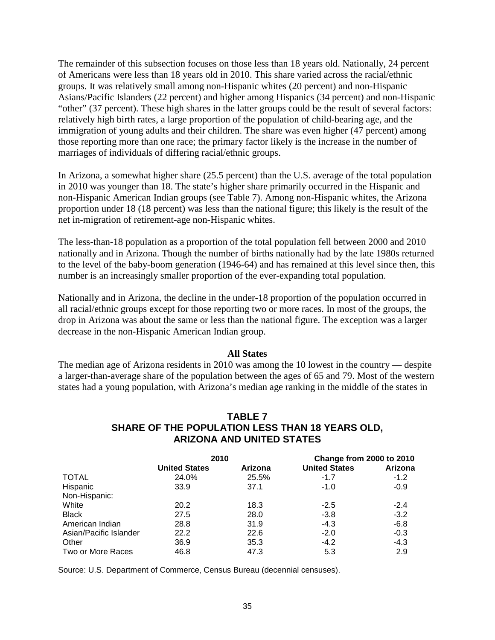The remainder of this subsection focuses on those less than 18 years old. Nationally, 24 percent of Americans were less than 18 years old in 2010. This share varied across the racial/ethnic groups. It was relatively small among non-Hispanic whites (20 percent) and non-Hispanic Asians/Pacific Islanders (22 percent) and higher among Hispanics (34 percent) and non-Hispanic "other" (37 percent). These high shares in the latter groups could be the result of several factors: relatively high birth rates, a large proportion of the population of child-bearing age, and the immigration of young adults and their children. The share was even higher (47 percent) among those reporting more than one race; the primary factor likely is the increase in the number of marriages of individuals of differing racial/ethnic groups.

In Arizona, a somewhat higher share (25.5 percent) than the U.S. average of the total population in 2010 was younger than 18. The state's higher share primarily occurred in the Hispanic and non-Hispanic American Indian groups (see Table 7). Among non-Hispanic whites, the Arizona proportion under 18 (18 percent) was less than the national figure; this likely is the result of the net in-migration of retirement-age non-Hispanic whites.

The less-than-18 population as a proportion of the total population fell between 2000 and 2010 nationally and in Arizona. Though the number of births nationally had by the late 1980s returned to the level of the baby-boom generation (1946-64) and has remained at this level since then, this number is an increasingly smaller proportion of the ever-expanding total population.

Nationally and in Arizona, the decline in the under-18 proportion of the population occurred in all racial/ethnic groups except for those reporting two or more races. In most of the groups, the drop in Arizona was about the same or less than the national figure. The exception was a larger decrease in the non-Hispanic American Indian group.

#### **All States**

The median age of Arizona residents in 2010 was among the 10 lowest in the country — despite a larger-than-average share of the population between the ages of 65 and 79. Most of the western states had a young population, with Arizona's median age ranking in the middle of the states in

#### **TABLE 7 SHARE OF THE POPULATION LESS THAN 18 YEARS OLD, ARIZONA AND UNITED STATES**

|                        | 2010                 |         | Change from 2000 to 2010 |         |  |
|------------------------|----------------------|---------|--------------------------|---------|--|
|                        | <b>United States</b> | Arizona | <b>United States</b>     | Arizona |  |
| <b>TOTAL</b>           | 24.0%                | 25.5%   | $-1.7$                   | $-1.2$  |  |
| Hispanic               | 33.9                 | 37.1    | $-1.0$                   | $-0.9$  |  |
| Non-Hispanic:          |                      |         |                          |         |  |
| White                  | 20.2                 | 18.3    | $-2.5$                   | $-2.4$  |  |
| <b>Black</b>           | 27.5                 | 28.0    | $-3.8$                   | $-3.2$  |  |
| American Indian        | 28.8                 | 31.9    | $-4.3$                   | $-6.8$  |  |
| Asian/Pacific Islander | 22.2                 | 22.6    | $-2.0$                   | $-0.3$  |  |
| Other                  | 36.9                 | 35.3    | $-4.2$                   | $-4.3$  |  |
| Two or More Races      | 46.8                 | 47.3    | 5.3                      | 2.9     |  |

Source: U.S. Department of Commerce, Census Bureau (decennial censuses).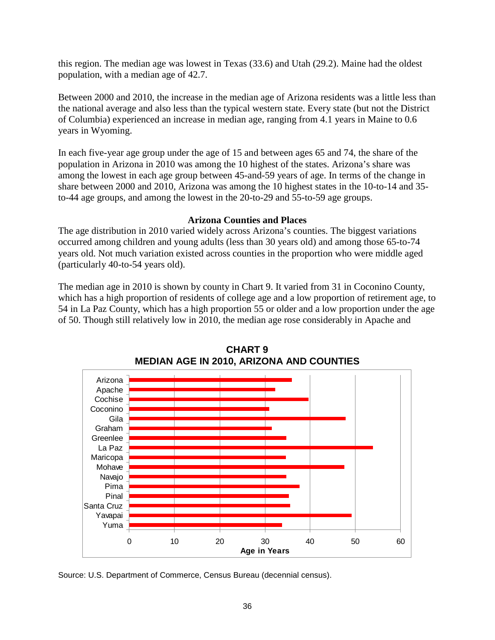this region. The median age was lowest in Texas (33.6) and Utah (29.2). Maine had the oldest population, with a median age of 42.7.

Between 2000 and 2010, the increase in the median age of Arizona residents was a little less than the national average and also less than the typical western state. Every state (but not the District of Columbia) experienced an increase in median age, ranging from 4.1 years in Maine to 0.6 years in Wyoming.

In each five-year age group under the age of 15 and between ages 65 and 74, the share of the population in Arizona in 2010 was among the 10 highest of the states. Arizona's share was among the lowest in each age group between 45-and-59 years of age. In terms of the change in share between 2000 and 2010, Arizona was among the 10 highest states in the 10-to-14 and 35 to-44 age groups, and among the lowest in the 20-to-29 and 55-to-59 age groups.

#### **Arizona Counties and Places**

The age distribution in 2010 varied widely across Arizona's counties. The biggest variations occurred among children and young adults (less than 30 years old) and among those 65-to-74 years old. Not much variation existed across counties in the proportion who were middle aged (particularly 40-to-54 years old).

The median age in 2010 is shown by county in Chart 9. It varied from 31 in Coconino County, which has a high proportion of residents of college age and a low proportion of retirement age, to 54 in La Paz County, which has a high proportion 55 or older and a low proportion under the age of 50. Though still relatively low in 2010, the median age rose considerably in Apache and



**CHART 9 MEDIAN AGE IN 2010, ARIZONA AND COUNTIES**

Source: U.S. Department of Commerce, Census Bureau (decennial census).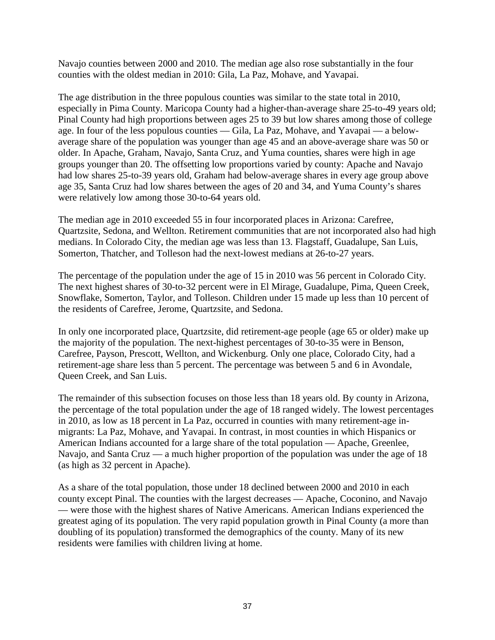Navajo counties between 2000 and 2010. The median age also rose substantially in the four counties with the oldest median in 2010: Gila, La Paz, Mohave, and Yavapai.

The age distribution in the three populous counties was similar to the state total in 2010, especially in Pima County. Maricopa County had a higher-than-average share 25-to-49 years old; Pinal County had high proportions between ages 25 to 39 but low shares among those of college age. In four of the less populous counties — Gila, La Paz, Mohave, and Yavapai — a belowaverage share of the population was younger than age 45 and an above-average share was 50 or older. In Apache, Graham, Navajo, Santa Cruz, and Yuma counties, shares were high in age groups younger than 20. The offsetting low proportions varied by county: Apache and Navajo had low shares 25-to-39 years old, Graham had below-average shares in every age group above age 35, Santa Cruz had low shares between the ages of 20 and 34, and Yuma County's shares were relatively low among those 30-to-64 years old.

The median age in 2010 exceeded 55 in four incorporated places in Arizona: Carefree, Quartzsite, Sedona, and Wellton. Retirement communities that are not incorporated also had high medians. In Colorado City, the median age was less than 13. Flagstaff, Guadalupe, San Luis, Somerton, Thatcher, and Tolleson had the next-lowest medians at 26-to-27 years.

The percentage of the population under the age of 15 in 2010 was 56 percent in Colorado City. The next highest shares of 30-to-32 percent were in El Mirage, Guadalupe, Pima, Queen Creek, Snowflake, Somerton, Taylor, and Tolleson. Children under 15 made up less than 10 percent of the residents of Carefree, Jerome, Quartzsite, and Sedona.

In only one incorporated place, Quartzsite, did retirement-age people (age 65 or older) make up the majority of the population. The next-highest percentages of 30-to-35 were in Benson, Carefree, Payson, Prescott, Wellton, and Wickenburg. Only one place, Colorado City, had a retirement-age share less than 5 percent. The percentage was between 5 and 6 in Avondale, Queen Creek, and San Luis.

The remainder of this subsection focuses on those less than 18 years old. By county in Arizona, the percentage of the total population under the age of 18 ranged widely. The lowest percentages in 2010, as low as 18 percent in La Paz, occurred in counties with many retirement-age inmigrants: La Paz, Mohave, and Yavapai. In contrast, in most counties in which Hispanics or American Indians accounted for a large share of the total population — Apache, Greenlee, Navajo, and Santa Cruz — a much higher proportion of the population was under the age of 18 (as high as 32 percent in Apache).

As a share of the total population, those under 18 declined between 2000 and 2010 in each county except Pinal. The counties with the largest decreases — Apache, Coconino, and Navajo — were those with the highest shares of Native Americans. American Indians experienced the greatest aging of its population. The very rapid population growth in Pinal County (a more than doubling of its population) transformed the demographics of the county. Many of its new residents were families with children living at home.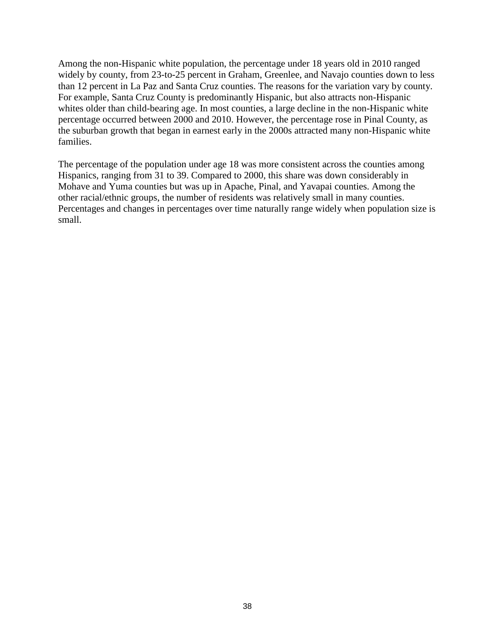Among the non-Hispanic white population, the percentage under 18 years old in 2010 ranged widely by county, from 23-to-25 percent in Graham, Greenlee, and Navajo counties down to less than 12 percent in La Paz and Santa Cruz counties. The reasons for the variation vary by county. For example, Santa Cruz County is predominantly Hispanic, but also attracts non-Hispanic whites older than child-bearing age. In most counties, a large decline in the non-Hispanic white percentage occurred between 2000 and 2010. However, the percentage rose in Pinal County, as the suburban growth that began in earnest early in the 2000s attracted many non-Hispanic white families.

The percentage of the population under age 18 was more consistent across the counties among Hispanics, ranging from 31 to 39. Compared to 2000, this share was down considerably in Mohave and Yuma counties but was up in Apache, Pinal, and Yavapai counties. Among the other racial/ethnic groups, the number of residents was relatively small in many counties. Percentages and changes in percentages over time naturally range widely when population size is small.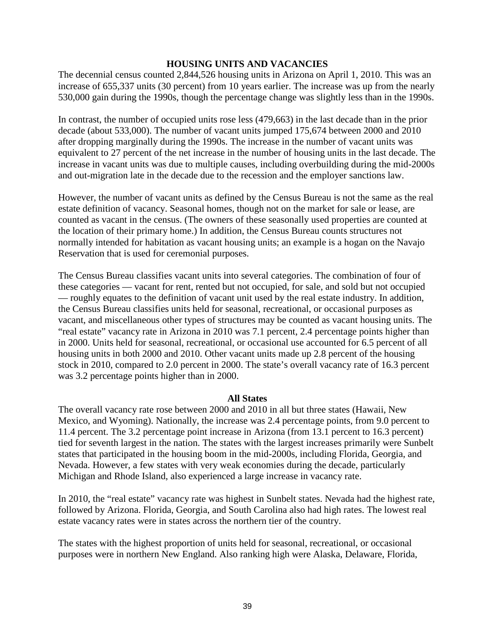#### **HOUSING UNITS AND VACANCIES**

The decennial census counted 2,844,526 housing units in Arizona on April 1, 2010. This was an increase of 655,337 units (30 percent) from 10 years earlier. The increase was up from the nearly 530,000 gain during the 1990s, though the percentage change was slightly less than in the 1990s.

In contrast, the number of occupied units rose less (479,663) in the last decade than in the prior decade (about 533,000). The number of vacant units jumped 175,674 between 2000 and 2010 after dropping marginally during the 1990s. The increase in the number of vacant units was equivalent to 27 percent of the net increase in the number of housing units in the last decade. The increase in vacant units was due to multiple causes, including overbuilding during the mid-2000s and out-migration late in the decade due to the recession and the employer sanctions law.

However, the number of vacant units as defined by the Census Bureau is not the same as the real estate definition of vacancy. Seasonal homes, though not on the market for sale or lease, are counted as vacant in the census. (The owners of these seasonally used properties are counted at the location of their primary home.) In addition, the Census Bureau counts structures not normally intended for habitation as vacant housing units; an example is a hogan on the Navajo Reservation that is used for ceremonial purposes.

The Census Bureau classifies vacant units into several categories. The combination of four of these categories — vacant for rent, rented but not occupied, for sale, and sold but not occupied — roughly equates to the definition of vacant unit used by the real estate industry. In addition, the Census Bureau classifies units held for seasonal, recreational, or occasional purposes as vacant, and miscellaneous other types of structures may be counted as vacant housing units. The "real estate" vacancy rate in Arizona in 2010 was 7.1 percent, 2.4 percentage points higher than in 2000. Units held for seasonal, recreational, or occasional use accounted for 6.5 percent of all housing units in both 2000 and 2010. Other vacant units made up 2.8 percent of the housing stock in 2010, compared to 2.0 percent in 2000. The state's overall vacancy rate of 16.3 percent was 3.2 percentage points higher than in 2000.

#### **All States**

The overall vacancy rate rose between 2000 and 2010 in all but three states (Hawaii, New Mexico, and Wyoming). Nationally, the increase was 2.4 percentage points, from 9.0 percent to 11.4 percent. The 3.2 percentage point increase in Arizona (from 13.1 percent to 16.3 percent) tied for seventh largest in the nation. The states with the largest increases primarily were Sunbelt states that participated in the housing boom in the mid-2000s, including Florida, Georgia, and Nevada. However, a few states with very weak economies during the decade, particularly Michigan and Rhode Island, also experienced a large increase in vacancy rate.

In 2010, the "real estate" vacancy rate was highest in Sunbelt states. Nevada had the highest rate, followed by Arizona. Florida, Georgia, and South Carolina also had high rates. The lowest real estate vacancy rates were in states across the northern tier of the country.

The states with the highest proportion of units held for seasonal, recreational, or occasional purposes were in northern New England. Also ranking high were Alaska, Delaware, Florida,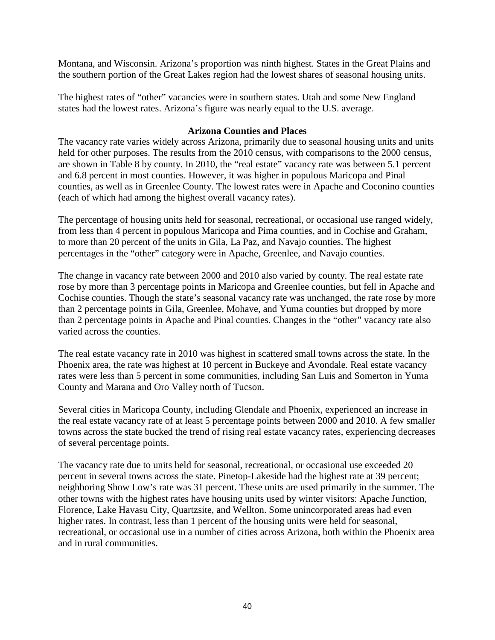Montana, and Wisconsin. Arizona's proportion was ninth highest. States in the Great Plains and the southern portion of the Great Lakes region had the lowest shares of seasonal housing units.

The highest rates of "other" vacancies were in southern states. Utah and some New England states had the lowest rates. Arizona's figure was nearly equal to the U.S. average.

#### **Arizona Counties and Places**

The vacancy rate varies widely across Arizona, primarily due to seasonal housing units and units held for other purposes. The results from the 2010 census, with comparisons to the 2000 census, are shown in Table 8 by county. In 2010, the "real estate" vacancy rate was between 5.1 percent and 6.8 percent in most counties. However, it was higher in populous Maricopa and Pinal counties, as well as in Greenlee County. The lowest rates were in Apache and Coconino counties (each of which had among the highest overall vacancy rates).

The percentage of housing units held for seasonal, recreational, or occasional use ranged widely, from less than 4 percent in populous Maricopa and Pima counties, and in Cochise and Graham, to more than 20 percent of the units in Gila, La Paz, and Navajo counties. The highest percentages in the "other" category were in Apache, Greenlee, and Navajo counties.

The change in vacancy rate between 2000 and 2010 also varied by county. The real estate rate rose by more than 3 percentage points in Maricopa and Greenlee counties, but fell in Apache and Cochise counties. Though the state's seasonal vacancy rate was unchanged, the rate rose by more than 2 percentage points in Gila, Greenlee, Mohave, and Yuma counties but dropped by more than 2 percentage points in Apache and Pinal counties. Changes in the "other" vacancy rate also varied across the counties.

The real estate vacancy rate in 2010 was highest in scattered small towns across the state. In the Phoenix area, the rate was highest at 10 percent in Buckeye and Avondale. Real estate vacancy rates were less than 5 percent in some communities, including San Luis and Somerton in Yuma County and Marana and Oro Valley north of Tucson.

Several cities in Maricopa County, including Glendale and Phoenix, experienced an increase in the real estate vacancy rate of at least 5 percentage points between 2000 and 2010. A few smaller towns across the state bucked the trend of rising real estate vacancy rates, experiencing decreases of several percentage points.

The vacancy rate due to units held for seasonal, recreational, or occasional use exceeded 20 percent in several towns across the state. Pinetop-Lakeside had the highest rate at 39 percent; neighboring Show Low's rate was 31 percent. These units are used primarily in the summer. The other towns with the highest rates have housing units used by winter visitors: Apache Junction, Florence, Lake Havasu City, Quartzsite, and Wellton. Some unincorporated areas had even higher rates. In contrast, less than 1 percent of the housing units were held for seasonal, recreational, or occasional use in a number of cities across Arizona, both within the Phoenix area and in rural communities.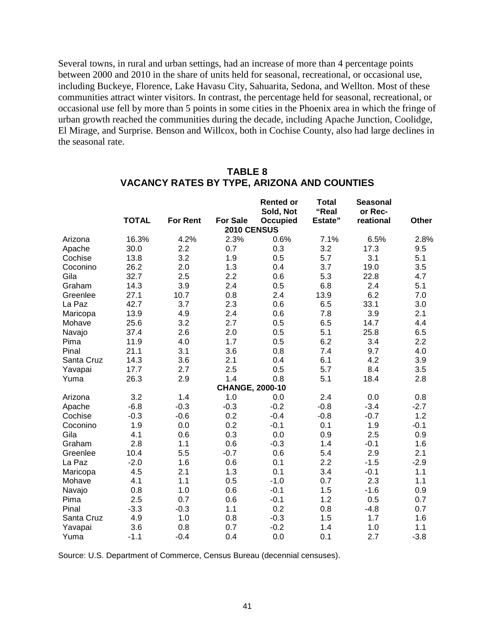Several towns, in rural and urban settings, had an increase of more than 4 percentage points between 2000 and 2010 in the share of units held for seasonal, recreational, or occasional use, including Buckeye, Florence, Lake Havasu City, Sahuarita, Sedona, and Wellton. Most of these communities attract winter visitors. In contrast, the percentage held for seasonal, recreational, or occasional use fell by more than 5 points in some cities in the Phoenix area in which the fringe of urban growth reached the communities during the decade, including Apache Junction, Coolidge, El Mirage, and Surprise. Benson and Willcox, both in Cochise County, also had large declines in the seasonal rate.

|            |              |                 |                        | <b>Rented or</b><br>Sold, Not | <b>Total</b><br>"Real | <b>Seasonal</b><br>or Rec- |        |
|------------|--------------|-----------------|------------------------|-------------------------------|-----------------------|----------------------------|--------|
|            | <b>TOTAL</b> | <b>For Rent</b> | <b>For Sale</b>        | Occupied                      | Estate"               | reational                  | Other  |
|            |              |                 | 2010 CENSUS            |                               |                       |                            |        |
| Arizona    | 16.3%        | 4.2%            | 2.3%                   | 0.6%                          | 7.1%                  | 6.5%                       | 2.8%   |
| Apache     | 30.0         | 2.2             | 0.7                    | 0.3                           | 3.2                   | 17.3                       | 9.5    |
| Cochise    | 13.8         | 3.2             | 1.9                    | 0.5                           | 5.7                   | 3.1                        | 5.1    |
| Coconino   | 26.2         | 2.0             | 1.3                    | 0.4                           | 3.7                   | 19.0                       | 3.5    |
| Gila       | 32.7         | 2.5             | 2.2                    | 0.6                           | 5.3                   | 22.8                       | 4.7    |
| Graham     | 14.3         | 3.9             | 2.4                    | 0.5                           | 6.8                   | 2.4                        | 5.1    |
| Greenlee   | 27.1         | 10.7            | 0.8                    | 2.4                           | 13.9                  | 6.2                        | 7.0    |
| La Paz     | 42.7         | 3.7             | 2.3                    | 0.6                           | 6.5                   | 33.1                       | 3.0    |
| Maricopa   | 13.9         | 4.9             | 2.4                    | 0.6                           | 7.8                   | 3.9                        | 2.1    |
| Mohave     | 25.6         | 3.2             | 2.7                    | 0.5                           | 6.5                   | 14.7                       | 4.4    |
| Navajo     | 37.4         | 2.6             | 2.0                    | 0.5                           | 5.1                   | 25.8                       | 6.5    |
| Pima       | 11.9         | 4.0             | 1.7                    | 0.5                           | 6.2                   | 3.4                        | 2.2    |
| Pinal      | 21.1         | 3.1             | 3.6                    | 0.8                           | 7.4                   | 9.7                        | 4.0    |
| Santa Cruz | 14.3         | 3.6             | 2.1                    | 0.4                           | 6.1                   | 4.2                        | 3.9    |
| Yavapai    | 17.7         | 2.7             | 2.5                    | 0.5                           | 5.7                   | 8.4                        | 3.5    |
| Yuma       | 26.3         | 2.9             | 1.4                    | 0.8                           | 5.1                   | 18.4                       | 2.8    |
|            |              |                 | <b>CHANGE, 2000-10</b> |                               |                       |                            |        |
| Arizona    | 3.2          | 1.4             | 1.0                    | 0.0                           | 2.4                   | 0.0                        | 0.8    |
| Apache     | $-6.8$       | $-0.3$          | $-0.3$                 | $-0.2$                        | $-0.8$                | $-3.4$                     | $-2.7$ |
| Cochise    | $-0.3$       | $-0.6$          | 0.2                    | $-0.4$                        | $-0.8$                | $-0.7$                     | 1.2    |
| Coconino   | 1.9          | 0.0             | 0.2                    | $-0.1$                        | 0.1                   | 1.9                        | $-0.1$ |
| Gila       | 4.1          | 0.6             | 0.3                    | 0.0                           | 0.9                   | 2.5                        | 0.9    |
| Graham     | 2.8          | 1.1             | 0.6                    | $-0.3$                        | 1.4                   | $-0.1$                     | 1.6    |
| Greenlee   | 10.4         | 5.5             | $-0.7$                 | 0.6                           | 5.4                   | 2.9                        | 2.1    |
| La Paz     | $-2.0$       | 1.6             | 0.6                    | 0.1                           | 2.2                   | $-1.5$                     | $-2.9$ |
| Maricopa   | 4.5          | 2.1             | 1.3                    | 0.1                           | 3.4                   | $-0.1$                     | 1.1    |
| Mohave     | 4.1          | 1.1             | 0.5                    | $-1.0$                        | 0.7                   | 2.3                        | 1.1    |
| Navajo     | 0.8          | 1.0             | 0.6                    | $-0.1$                        | 1.5                   | $-1.6$                     | 0.9    |
| Pima       | 2.5          | 0.7             | 0.6                    | $-0.1$                        | 1.2                   | 0.5                        | 0.7    |
| Pinal      | $-3.3$       | $-0.3$          | 1.1                    | 0.2                           | 0.8                   | $-4.8$                     | 0.7    |
| Santa Cruz | 4.9          | 1.0             | 0.8                    | $-0.3$                        | 1.5                   | 1.7                        | 1.6    |
| Yavapai    | 3.6          | 0.8             | 0.7                    | $-0.2$                        | 1.4                   | 1.0                        | 1.1    |
| Yuma       | $-1.1$       | $-0.4$          | 0.4                    | 0.0                           | 0.1                   | 2.7                        | $-3.8$ |

#### **TABLE 8 VACANCY RATES BY TYPE, ARIZONA AND COUNTIES**

Source: U.S. Department of Commerce, Census Bureau (decennial censuses).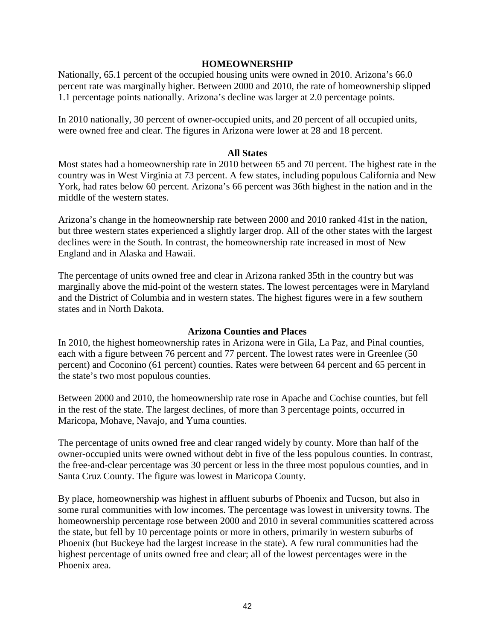#### **HOMEOWNERSHIP**

Nationally, 65.1 percent of the occupied housing units were owned in 2010. Arizona's 66.0 percent rate was marginally higher. Between 2000 and 2010, the rate of homeownership slipped 1.1 percentage points nationally. Arizona's decline was larger at 2.0 percentage points.

In 2010 nationally, 30 percent of owner-occupied units, and 20 percent of all occupied units, were owned free and clear. The figures in Arizona were lower at 28 and 18 percent.

#### **All States**

Most states had a homeownership rate in 2010 between 65 and 70 percent. The highest rate in the country was in West Virginia at 73 percent. A few states, including populous California and New York, had rates below 60 percent. Arizona's 66 percent was 36th highest in the nation and in the middle of the western states.

Arizona's change in the homeownership rate between 2000 and 2010 ranked 41st in the nation, but three western states experienced a slightly larger drop. All of the other states with the largest declines were in the South. In contrast, the homeownership rate increased in most of New England and in Alaska and Hawaii.

The percentage of units owned free and clear in Arizona ranked 35th in the country but was marginally above the mid-point of the western states. The lowest percentages were in Maryland and the District of Columbia and in western states. The highest figures were in a few southern states and in North Dakota.

#### **Arizona Counties and Places**

In 2010, the highest homeownership rates in Arizona were in Gila, La Paz, and Pinal counties, each with a figure between 76 percent and 77 percent. The lowest rates were in Greenlee (50 percent) and Coconino (61 percent) counties. Rates were between 64 percent and 65 percent in the state's two most populous counties.

Between 2000 and 2010, the homeownership rate rose in Apache and Cochise counties, but fell in the rest of the state. The largest declines, of more than 3 percentage points, occurred in Maricopa, Mohave, Navajo, and Yuma counties.

The percentage of units owned free and clear ranged widely by county. More than half of the owner-occupied units were owned without debt in five of the less populous counties. In contrast, the free-and-clear percentage was 30 percent or less in the three most populous counties, and in Santa Cruz County. The figure was lowest in Maricopa County.

By place, homeownership was highest in affluent suburbs of Phoenix and Tucson, but also in some rural communities with low incomes. The percentage was lowest in university towns. The homeownership percentage rose between 2000 and 2010 in several communities scattered across the state, but fell by 10 percentage points or more in others, primarily in western suburbs of Phoenix (but Buckeye had the largest increase in the state). A few rural communities had the highest percentage of units owned free and clear; all of the lowest percentages were in the Phoenix area.